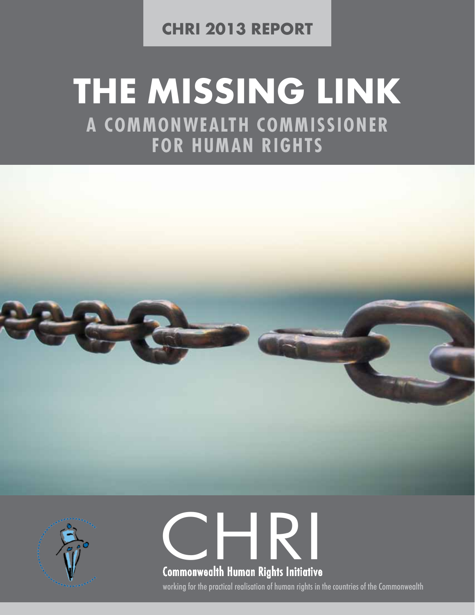**CHRI 2013 REPORT**

## **The Missing Link A Commonwealth Commissioner for Human Rights**





**JERT** Commonwealth Human Rights Initiative

working for the practical realisation of human rights in the countries of the Commonwealth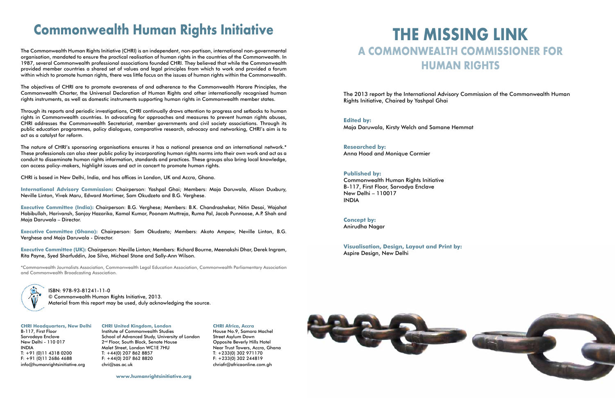### **Commonwealth Human Rights Initiative**

The Commonwealth Human Rights Initiative (CHRI) is an independent, non-partisan, international non-governmental organisation, mandated to ensure the practical realisation of human rights in the countries of the Commonwealth. In 1987, several Commonwealth professional associations founded CHRI. They believed that while the Commonwealth provided member countries a shared set of values and legal principles from which to work and provided a forum within which to promote human rights, there was little focus on the issues of human rights within the Commonwealth.

The objectives of CHRI are to promote awareness of and adherence to the Commonwealth Harare Principles, the Commonwealth Charter, the Universal Declaration of Human Rights and other internationally recognised human rights instruments, as well as domestic instruments supporting human rights in Commonwealth member states.

Through its reports and periodic investigations, CHRI continually draws attention to progress and setbacks to human rights in Commonwealth countries. In advocating for approaches and measures to prevent human rights abuses, CHRI addresses the Commonwealth Secretariat, member governments and civil society associations. Through its public education programmes, policy dialogues, comparative research, advocacy and networking, CHRI's aim is to act as a catalyst for reform.

The nature of CHRI's sponsoring organisations ensures it has a national presence and an international network.\* These professionals can also steer public policy by incorporating human rights norms into their own work and act as a conduit to disseminate human rights information, standards and practices. These groups also bring local knowledge, can access policy–makers, highlight issues and act in concert to promote human rights.

B-117, First Floor **Institute of Commonwealth Studies** House No.9, Samora Machel Sarvodaya Enclave School of Advanced Study, University of London Street Asylum Down New Delhi - 110 017 2nd Floor, South Block, Senate House Opposite Beverly Hills Hotel INDIA<br>
T: +91 (0)11 4318 0200<br>
T: +44(0) 207 862 8857<br>
T: +44(0) 207 862 8857 T:  $+44(0)$  207 862 8857 T:  $+233(0)$  302 971170 F:  $+91$  (0)11 2686 4688 F:  $+44(0)$  207 862 8820 F:  $+233(0)$  302 244819 info@humanrightsinitiative.org chri@sas.ac.uk chriafr@africaonline.com.gh



CHRI is based in New Delhi, India, and has offices in London, UK and Accra, Ghana.

**International Advisory Commission:** Chairperson: Yashpal Ghai; Members: Maja Daruwala, Alison Duxbury, Neville Linton, Vivek Maru, Edward Mortimer, Sam Okudzeto and B.G. Verghese.

**Executive Committee (India):** Chairperson: B.G. Verghese; Members: B.K. Chandrashekar, Nitin Desai, Wajahat Habibullah, Harivansh, Sanjoy Hazarika, Kamal Kumar, Poonam Muttreja, Ruma Pal, Jacob Punnoose, A.P. Shah and Maja Daruwala – Director.

**Executive Committee (Ghana):** Chairperson: Sam Okudzeto; Members: Akoto Ampaw, Neville Linton, B.G. Verghese and Maja Daruwala - Director.

**Executive Committee (UK):** Chairperson: Neville Linton; Members: Richard Bourne, Meenakshi Dhar, Derek Ingram, Rita Payne, Syed Sharfuddin, Joe Silva, Michael Stone and Sally-Ann Wilson.

\*Commonwealth Journalists Association, Commonwealth Legal Education Association, Commonwealth Parliamentary Association and Commonwealth Broadcasting Association.



ISBN: 978-93-81241-11-0

© Commonwealth Human Rights Initiative, 2013. Material from this report may be used, duly acknowledging the source.

### **CHRI Headquarters, New Delhi CHRI United Kingdom, London CHRI Africa, Accra**

**www.humanrightsinitiative.org**

### **The Missing Link A Commonwealth Commissioner for Human Rights**



The 2013 report by the International Advisory Commission of the Commonwealth Human Rights Initiative, Chaired by Yashpal Ghai

#### **Edited by:**

Maja Daruwala, Kirsty Welch and Samane Hemmat

**Researched by:** Anna Hood and Monique Cormier

#### **Published by:**

Commonwealth Human Rights Initiative B-117, First Floor, Sarvodya Enclave New Delhi – 110017 INDIA

**Concept by:** Anirudha Nagar

**Visualisation, Design, Layout and Print by:**  Aspire Design, New Delhi

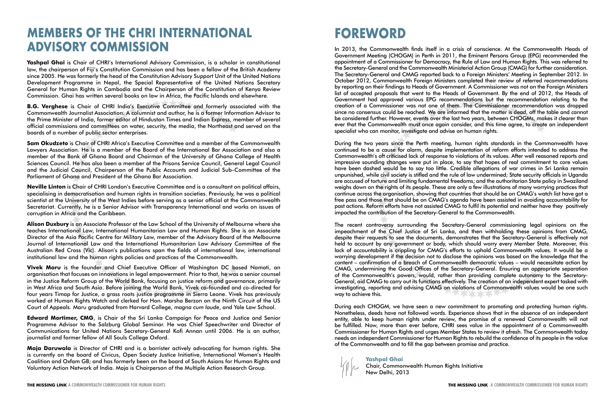### **Members of the Chri International Advisory Commission**

**Yashpal Ghai** is Chair of CHRI's International Advisory Commission, is a scholar in constitutional law, the chairperson of Fiji's Constitution Commission and has been a fellow of the British Academy since 2005. He was formerly the head of the Constitution Advisory Support Unit of the United Nations Development Programme in Nepal, the Special Representative of the United Nations Secretary General for Human Rights in Cambodia and the Chairperson of the Constitution of Kenya Review Commission. Ghai has written several books on law in Africa, the Pacific Islands and elsewhere.

**B.G. Verghese** is Chair of CHRI India's Executive Committee and formerly associated with the Commonwealth Journalist Association. A columnist and author, he is a former Information Advisor to the Prime Minister of India, former editor of Hindustan Times and Indian Express, member of several official commissions and committees on water, security, the media, the Northeast and served on the boards of a number of public sector enterprises.

**Sam Okudzeto** is Chair of CHRI Africa's Executive Committee and a member of the Commonwealth Lawyers Association. He is a member of the Board of the International Bar Association and also a member of the Bank of Ghana Board and Chairman of the University of Ghana College of Health Sciences Council. He has also been a member of the Prisons Service Council, General Legal Council and the Judicial Council, Chairperson of the Public Accounts and Judicial Sub–Committee of the Parliament of Ghana and President of the Ghana Bar Association.

**Neville Linton** is Chair of CHRI London's Executive Committee and is a consultant on political affairs, specialising in democratisation and human rights in transition societies. Previously, he was a political scientist at the University of the West Indies before serving as a senior official at the Commonwealth Secretariat. Currently, he is a Senior Advisor with Transparency International and works on issues of corruption in Africa and the Caribbean.

**Alison Duxbury** is an Associate Professor at the Law School of the University of Melbourne where she teaches International Law, International Humanitarian Law and Human Rights. She is an Associate Director of the Asia Pacific Centre for Military Law, member of the Advisory Board of the Melbourne Journal of International Law and the International Humanitarian Law Advisory Committee of the Australian Red Cross (Vic). Alison's publications span the fields of international law, international institutional law and the human rights policies and practices of the Commonwealth.

**Vivek Maru** is the founder and Chief Executive Officer of Washington DC based Namati, an organisation that focuses on innovations in legal empowerment. Prior to that, he was a senior counsel in the Justice Reform Group of the World Bank, focusing on justice reform and governance, primarily in West Africa and South Asia. Before joining the World Bank, Vivek co-founded and co-directed for four years Timap for Justice, a grass roots justice programme in Sierra Leone. Vivek has previously worked at Human Rights Watch and clerked for Hon. Marsha Berzon on the Ninth Circuit of the US Court of Appeals. Maru graduated from Harvard College, *magna cum laude*, and Yale Law School.

**Edward Mortimer, CMG**, is Chair of the Sri Lanka Campaign for Peace and Justice and Senior Programme Advisor to the Salzburg Global Seminar. He was Chief Speechwriter and Director of Communications for United Nations Secretary-General Kofi Annan until 2006. He is an author, journalist and former fellow of All Souls College Oxford.

**Maja Daruwala** is Director of CHRI and is a barrister actively advocating for human rights. She is currently on the board of Civicus, Open Society Justice Initiative, International Women's Health Coalition and Oxfam GB; and has formerly been on the board of South Asians for Human Rights and Voluntary Action Network of India. Maja is Chairperson of the Multiple Action Research Group.

In 2013, the Commonwealth finds itself in a crisis of conscience. At the Commonwealth Heads of Government Meeting (CHOGM) in Perth in 2011, the Eminent Persons Group (EPG) recommended the appointment of a Commissioner for Democracy, the Rule of Law and Human Rights. This was referred to the Secretary-General and the Commonwealth Ministerial Action Group (CMAG) for further consideration. The Secretary-General and CMAG reported back to a Foreign Ministers' Meeting in September 2012. In October 2012, Commonwealth Foreign Ministers completed their review of referred recommendations by reporting on their findings to Heads of Government. A Commissioner was not on the Foreign Ministers list of accepted proposals that went to the Heads of Government. By the end of 2012, the Heads of Government had approved various EPG recommendations but the recommendation relating to the creation of a Commissioner was not one of them. The Commissioner recommendation was dropped since no consensus could be reached. We are informed that the matter is dead, off the table and cannot be considered further. However, events over the last two years, between CHOGMs, makes it clearer than ever that the Commonwealth must once again consider, and this time agree, to create an independent specialist who can monitor, investigate and advise on human rights.

During the two years since the Perth meeting, human rights standards in the Commonwealth have continued to be a cause for alarm, despite implementation of reform efforts intended to address the Commonwealth's oft criticised lack of response to violations of its values. After well reasoned reports and impressive sounding changes were put in place, to say that hopes of real commitment to core values have been dashed would be to say too little. Credible allegations of war crimes in Sri Lanka remain unpunished, while civil society is stifled and the rule of law undermined; State security officials in Uganda are accused of torture and limiting fundamental freedoms; and the authoritarian State policy in Swaziland weighs down on the rights of its people. These are only a few illustrations of many worrying practices that continue across the organisation, showing that countries that should be on CMAG's watch list have got a free pass and those that should be on CMAG's agenda have been assisted in avoiding accountability for past actions. Reform efforts have not assisted CMAG to fulfil its potential and neither have they positively impacted the contribution of the Secretary-General to the Commonwealth.

The recent controversy surrounding the Secretary-General commissioning legal opinions on the impeachment of the Chief Justice of Sri Lanka, and then withholding these opinions from CMAG, despite their requests to see the documents, demonstrates that the Secretary-General is effectively not held to account by any government or body, which should worry every Member State. Moreover, this lack of accountability is crippling for CMAG's efforts to uphold Commonwealth values. It would be a worrying development if the decision not to disclose the opinions was based on the knowledge that the content – confirmation of a breach of Commonwealth democratic values – would necessitate action by CMAG, undermining the Good Offices of the Secretary-General. Ensuring an appropriate separation of the Commonwealth's powers, would, rather than providing complete autonomy to the Secretary-General, aid CMAG to carry out its functions effectively. The creation of an independent expert tasked with investigating, reporting and advising CMAG on violations of Commonwealth values would be one such way to achieve this.

During each CHOGM, we have seen a new commitment to promoting and protecting human rights. Nonetheless, deeds have not followed words. Experience shows that in the absence of an independent entity, able to keep human rights under review, the promise of a renewed Commonwealth will not be fulfilled. Now, more than ever before, CHRI sees value in the appointment of a Commonwealth Commissioner for Human Rights and urges Member States to review it afresh. The Commonwealth today needs an independent Commissioner for Human Rights to rebuild the confidence of its people in the value of the Commonwealth and to fill the gap between promise and practice.



Chair, Commonwealth Human Rights Initiative New Delhi, 2013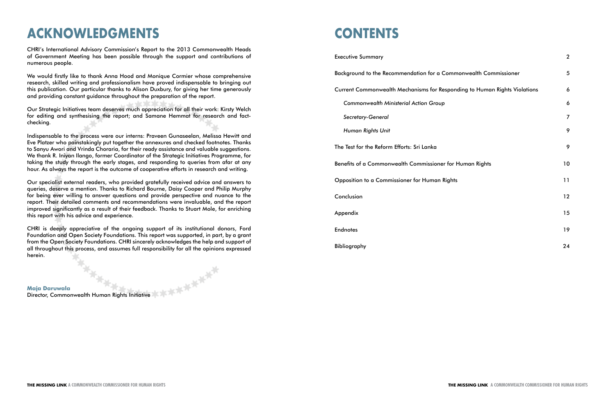### **Acknowledgments**

CHRI's International Advisory Commission's Report to the 2013 Commonwealth Heads of Government Meeting has been possible through the support and contributions of numerous people.

We would firstly like to thank Anna Hood and Monique Cormier whose comprehensive research, skilled writing and professionalism have proved indispensable to bringing out this publication. Our particular thanks to Alison Duxbury, for giving her time generously and providing constant guidance throughout the preparation of the report.

Our Strategic Initiatives team deserves much appreciation for all their work: Kirsty Welch for editing and synthesising the report; and Samane Hemmat for research and factchecking.

Indispensable to the process were our interns: Praveen Gunaseelan, Melissa Hewitt and Eve Platzer who painstakingly put together the annexures and checked footnotes. Thanks to Sanyu Awori and Vrinda Choraria, for their ready assistance and valuable suggestions. We thank R. Iniyan Ilango, former Coordinator of the Strategic Initiatives Programme, for taking the study through the early stages, and responding to queries from afar at any hour. As always the report is the outcome of cooperative efforts in research and writing.

Our specialist external readers, who provided gratefully received advice and answers to queries, deserve a mention. Thanks to Richard Bourne, Daisy Cooper and Philip Murphy for being ever willing to answer questions and provide perspective and nuance to the report. Their detailed comments and recommendations were invaluable, and the report improved significantly as a result of their feedback. Thanks to Stuart Mole, for enriching this report with his advice and experience.

CHRI is deeply appreciative of the ongoing support of its institutional donors, Ford Foundation and Open Society Foundations. This report was supported, in part, by a grant from the Open Society Foundations. CHRI sincerely acknowledges the help and support of all throughout this process, and assumes full responsibility for all the opinions expressed herein.

**Maja Daruwala**

Director, Commonwealth Human Rights Initiative

### **CONTENTS**

Executive Summary 2

**Bibliography** 

| Background to the Recommendation for a Commonwealth Commissioner          | $5\phantom{.0}$ |
|---------------------------------------------------------------------------|-----------------|
| Current Commonwealth Mechanisms for Responding to Human Rights Violations | 6               |
| <b>Commonwealth Ministerial Action Group</b>                              | 6               |
| Secretary-General                                                         | $\overline{7}$  |
| Human Rights Unit                                                         | 9               |
| The Test for the Reform Efforts: Sri Lanka                                | 9               |
| Benefits of a Commonwealth Commissioner for Human Rights                  | 10              |
| Opposition to a Commissioner for Human Rights                             | 11              |
| Conclusion                                                                | 12              |
| Appendix                                                                  | 15              |
| <b>Endnotes</b>                                                           | 19              |
| Bibliography                                                              | 24              |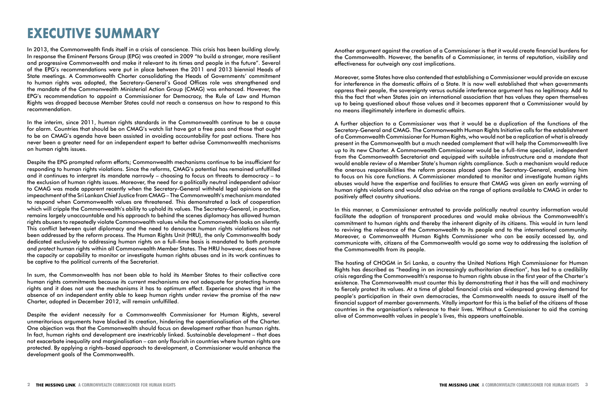### **Executive Summary**

In 2013, the Commonwealth finds itself in a crisis of conscience. This crisis has been building slowly. In response the Eminent Persons Group (EPG) was created in 2009 "to build a stronger, more resilient and progressive Commonwealth and make it relevant to its times and people in the future". Several of the EPG's recommendations were put in place between the 2011 and 2013 biennial Heads of State meetings. A Commonwealth Charter consolidating the Heads of Governments' commitment to human rights was adopted, the Secretary-General's Good Offices role was strengthened and the mandate of the Commonwealth Ministerial Action Group (CMAG) was enhanced. However, the EPG's recommendation to appoint a Commissioner for Democracy, the Rule of Law and Human Rights was dropped because Member States could not reach a consensus on how to respond to this recommendation.

In the interim, since 2011, human rights standards in the Commonwealth continue to be a cause for alarm. Countries that should be on CMAG's watch list have got a free pass and those that ought to be on CMAG's agenda have been assisted in avoiding accountability for past actions. There has never been a greater need for an independent expert to better advise Commonwealth mechanisms on human rights issues.

Despite the EPG prompted reform efforts; Commonwealth mechanisms continue to be insufficient for responding to human rights violations. Since the reforms, CMAG's potential has remained unfulfilled and it continues to interpret its mandate narrowly – choosing to focus on threats to democracy – to the exclusion of human rights issues. Moreover, the need for a politically neutral independent advisor to CMAG was made apparent recently when the Secretary-General withheld legal opinions on the impeachment of the Sri Lankan Chief Justice from CMAG – The Commonwealth's mechanism mandated to respond when Commonwealth values are threatened. This demonstrated a lack of cooperation which will cripple the Commonwealth's ability to uphold its values. The Secretary-General, in practice, remains largely unaccountable and his approach to behind the scenes diplomacy has allowed human rights abusers to repeatedly violate Commonwealth values while the Commonwealth looks on silently. This conflict between quiet diplomacy and the need to denounce human rights violations has not been addressed by the reform process. The Human Rights Unit (HRU), the only Commonwealth body dedicated exclusively to addressing human rights on a full–time basis is mandated to both *promote*  and *protect* human rights within all Commonwealth Member States. The HRU however, does not have the capacity or capability to monitor or investigate human rights abuses and in its work continues to be captive to the political currents of the Secretariat.

In sum, the Commonwealth has not been able to hold its Member States to their collective core human rights commitments because its current mechanisms are not adequate for protecting human rights and it does not use the mechanisms it has to optimum effect. Experience shows that in the absence of an independent entity able to keep human rights under review the promise of the new Charter, adopted in December 2012, will remain unfulfilled.

Despite the evident necessity for a Commonwealth Commissioner for Human Rights, several unmeritorious arguments have blocked its creation, hindering the operationalisation of the Charter. One objection was that the Commonwealth should focus on development rather than human rights. In fact, human rights and development are inextricably linked. Sustainable development – that does not exacerbate inequality and marginalisation – can only flourish in countries where human rights are protected. By applying a rights–based approach to development, a Commissioner would enhance the development goals of the Commonwealth.

Another argument against the creation of a Commissioner is that it would create financial burdens for the Commonwealth. However, the benefits of a Commissioner, in terms of reputation, visibility and effectiveness far outweigh any cost implications.

Moreover, some States have also contended that establishing a Commissioner would provide an excuse for interference in the domestic affairs of a State. It is now well established that when governments oppress their people, the sovereignty versus outside interference argument has no legitimacy. Add to this the fact that when States join an international association that has values they open themselves up to being questioned about those values and it becomes apparent that a Commissioner would by no means illegitimately interfere in domestic affairs.

A further objection to a Commissioner was that it would be a duplication of the functions of the Secretary-General and CMAG. The Commonwealth Human Rights Initiative calls for the establishment of a Commonwealth Commissioner for Human Rights, who would not be a replication of what is already present in the Commonwealth but a much needed complement that will help the Commonwealth live up to its new Charter. A Commonwealth Commissioner would be a full–time specialist, independent from the Commonwealth Secretariat and equipped with suitable infrastructure and a mandate that would enable review of a Member State's human rights compliance. Such a mechanism would reduce the onerous responsibilities the reform process placed upon the Secretary-General, enabling him to focus on his core functions. A Commissioner mandated to monitor and investigate human rights abuses would have the expertise and facilities to ensure that CMAG was given an early warning of human rights violations and would also advise on the range of options available to CMAG in order to positively affect country situations.

In this manner, a Commissioner entrusted to provide politically neutral country information would facilitate the adoption of transparent procedures and would make obvious the Commonwealth's commitment to human rights and thereby the inherent dignity of its citizens. This would in turn lend to reviving the relevance of the Commonwealth to its people and to the international community. Moreover, a Commonwealth Human Rights Commissioner who can be easily accessed by, and communicate with, citizens of the Commonwealth would go some way to addressing the isolation of the Commonwealth from its people.

The hosting of CHOGM in Sri Lanka, a country the United Nations High Commissioner for Human Rights has described as "heading in an increasingly authoritarian direction", has led to a credibility crisis regarding the Commonwealth's response to human rights abuse in the first year of the Charter's existence. The Commonwealth must counter this by demonstrating that it has the will and machinery to fiercely protect its values. At a time of global financial crisis and widespread growing demand for people's participation in their own democracies, the Commonwealth needs to assure itself of the financial support of member governments. Vitally important for this is the belief of the citizens of those countries in the organisation's relevance to their lives. Without a Commissioner to aid the coming alive of Commonwealth values in people's lives, this appears unattainable.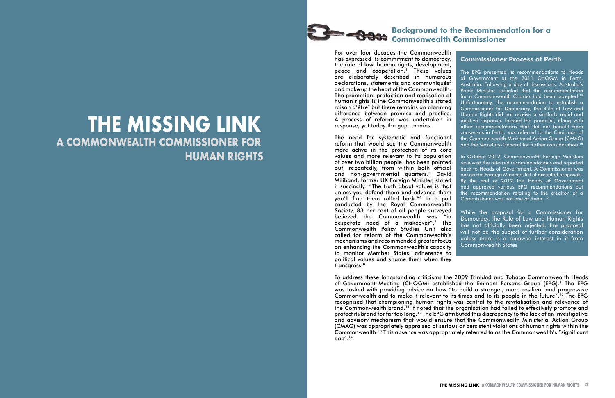## **Background to the Recommendation for a**



For over four decades the Commonwealth has expressed its commitment to democracy, the rule of law, human rights, development, peace and cooperation.<sup>1</sup> These values are elaborately described in numerous declarations, statements and communiqués<sup>2</sup> and make up the heart of the Commonwealth. The promotion, protection and realisation of human rights is the Commonwealth's stated raison d'être3 but there remains an alarming difference between promise and practice. A process of reforms was undertaken in response, yet today the gap remains.

To address these longstanding criticisms the 2009 Trinidad and Tobago Commonwealth Heads of Government Meeting (CHOGM) established the Eminent Persons Group (EPG).9 The EPG was tasked with providing advice on how "to build a stronger, more resilient and progressive Commonwealth and to make it relevant to its times and to its people in the future".10 The EPG recognised that championing human rights was central to the revitalisation and relevance of the Commonwealth brand.11 It noted that the organisation had failed to effectively promote and protect its brand for far too long.12 The EPG attributed this discrepancy to the lack of an investigative and advisory mechanism that would ensure that the Commonwealth Ministerial Action Group (CMAG) was appropriately appraised of serious or persistent violations of human rights within the Commonwealth.13 This absence was appropriately referred to as the Commonwealth's "significant gap". $14$ 

The need for systematic and functional reform that would see the Commonwealth more active in the protection of its core values and more relevant to its population of over two billion people4 has been pointed out, repeatedly, from within both official and non-governmental quarters.<sup>5</sup> David Miliband, former UK Foreign Minister, stated it succinctly: "The truth about values is that unless you defend them and advance them you'll find them rolled back."6 In a poll conducted by the Royal Commonwealth Society, 83 per cent of all people surveyed believed the Commonwealth was "in desperate need of a makeover".7 The Commonwealth Policy Studies Unit also called for reform of the Commonwealth's mechanisms and recommended greater focus on enhancing the Commonwealth's capacity to monitor Member States' adherence to political values and shame them when they transgress.8

The EPG presented its recommendations to Heads of Government at the 2011 CHOGM in Perth, Australia. Following a day of discussions, Australia's Prime Minister revealed that the recommendation for a Commonwealth Charter had been accepted.<sup>15</sup> Unfortunately, the recommendation to establish a Commissioner for Democracy, the Rule of Law and Human Rights did not receive a similarly rapid and positive response. Instead the proposal, along with other recommendations that did not benefit from consensus in Perth, was referred to the Chairman of the Commonwealth Ministerial Action Group (CMAG) and the Secretary-General for further consideration.<sup>1</sup>

In October 2012, Commonwealth Foreign Ministers reviewed the referred recommendations and reported back to Heads of Government. A Commissioner was not on the Foreign Ministers list of accepted proposals. By the end of 2012 the Heads of Government had approved various EPG recommendations but the recommendation relating to the creation of a Commissioner was not one of them.<sup>17</sup>

#### **Commissioner Process at Perth**

While the proposal for a Commissioner for Democracy, the Rule of Law and Human Rights has not officially been rejected, the proposal will not be the subject of further consideration unless there is a renewed interest in it from Commonwealth States

## **The Missing Link A Commonwealth Commissioner for Human Rights**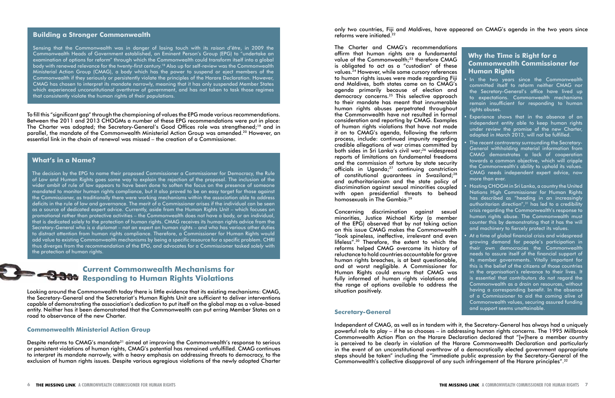### **Current Commonwealth Mechanisms for Responding to Human Rights Violations**

To fill this "significant gap" through the championing of values the EPG made various recommendations. Between the 2011 and 2013 CHOGMs a number of these EPG recommendations were put in place: The Charter was adopted; the Secretary-General's Good Offices role was strengthened;<sup>19</sup> and in parallel, the mandate of the Commonwealth Ministerial Action Group was amended.20 However, an essential link in the chain of renewal was missed – the creation of a Commissioner.

Despite reforms to CMAG's mandate<sup>21</sup> aimed at improving the Commonwealth's response to serious or persistent violations of human rights, CMAG's potential has remained unfulfilled. CMAG continues to interpret its mandate narrowly, with a heavy emphasis on addressing threats to democracy, to the exclusion of human rights issues. Despite various egregious violations of the newly adopted Charter reforms were initiated.<sup>22</sup>

The Charter and CMAG's recommendation affirm that human rights are a fundament value of the Commonwealth;<sup>23</sup> therefore CMA is obligated to act as a "custodian" of thes values.<sup>24</sup> However, while some cursory reference to human rights issues were made regarding Fi and Maldives, both states came on to CMAG agenda primarily because of election an democracy concerns.<sup>25</sup> This selective approac to their mandate has meant that innumerabl human rights abuses perpetrated throughout the Commonwealth have not resulted in form consideration and reporting by CMAG. Example of human rights violations that have not mad it on to CMAG's agenda, following the reform process, include: continued impunity regarding credible allegations of war crimes committed b both sides in Sri Lanka's civil war;<sup>26</sup> widesprea reports of limitations on fundamental freedom and the commission of torture by state security officials in Uganda;<sup>27</sup> continuing constriction of constitutional quarantees in Swaziland; and authoritarianism and the state policy discrimination against sexual minorities couple with open presidential threats to behea homosexuals in The Gambia.<sup>29</sup>

Looking around the Commonwealth today there is little evidence that its existing mechanisms: CMAG, the Secretary-General and the Secretariat's Human Rights Unit are sufficient to deliver interventions capable of demonstrating the association's dedication to put itself on the global map as a value-based entity. Neither has it been demonstrated that the Commonwealth can put erring Member States on a road to observance of the new Charter.

#### **Commonwealth Ministerial Action Group**

| ns             |
|----------------|
| al             |
| G              |
| se             |
| es             |
|                |
| ïji            |
| ,<br>nd        |
|                |
| ch             |
| le             |
| ut             |
| al             |
| es             |
| de             |
|                |
| m              |
| ıg             |
|                |
| by<br>1d       |
|                |
| ns<br>ity      |
|                |
| ,<br>,28<br>of |
|                |
| be             |
|                |
| ad             |
|                |
|                |
| al             |
| er             |
| ρn             |
| th             |
| эn             |
|                |
| าe<br>of       |
|                |
| ve             |
| e,             |
| or             |
| as             |
| اء ا           |

Concerning discrimination against sexud minorities, Justice Michael Kirby (a membe of the EPG) observed that by not taking actio on this issue CMAG makes the Commonwealth "look spineless, ineffective, irrelevant and eve lifeless". $30$  Therefore, the extent to which the reforms helped CMAG overcome its history reluctance to hold countries accountable for grav human rights breaches, is at best questionable and at worst negligible. A Commissioner for Human Rights could ensure that CMAG was fully informed of human rights violations and the range of options available to address the situation positively.

#### **Secretary-General**

Independent of CMAG, as well as in tandem with it, the Secretary-General has always had a uniquely powerful role to play – if he so chooses – in addressing human rights concerns. The 1995 Millbrook Commonwealth Action Plan on the Harare Declaration declared that "[w]here a member country is perceived to be clearly in violation of the Harare Commonwealth Declaration and particularly in the event of an unconstitutional overthrow of a democratically elected government appropriate steps should be taken" including the "immediate public expression by the Secretary-General of the Commonwealth's collective disapproval of any such infringement of the Harare principles".32

- In the two years since the Commonwealth committed itself to reform neither CMAG nor the Secretary-General's office have lived up to expectations. Commonwealth mechanisms remain insufficient for responding to human rights abuses.
- Experience shows that in the absence of an independent entity able to keep human rights under review the promise of the new Charter, adopted in March 2013, will not be fulfilled.
- The recent controversy surrounding the Secretary-General withholding material information from CMAG demonstrates a lack of cooperation towards a common objective, which will cripple the Commonwealth's ability to uphold its values. CMAG needs independent expert advice, now more than ever.
- Hosting CHOGM in Sri Lanka, a country the United Nations High Commissioner for Human Rights has described as "heading in an increasingly authoritarian direction",31 has led to a credibility crisis regarding the Commonwealth's response to human rights abuse. The Commonwealth must counter this by demonstrating that it has the will and machinery to fiercely protect its values.
- $\cdot$  At a time of global financial crisis and widespread growing demand for people's participation in their own democracies the Commonwealth needs to assure itself of the financial support of its member governments. Vitally important for this is the belief of the citizens of those countries in the organisation's relevance to their lives. It is essential that contributors do not regard the Commonwealth as a drain on resources, without having a corresponding benefit. In the absence of a Commissioner to aid the coming alive of Commonwealth values, securing assured funding and support seems unattainable.

#### **What's in a Name?**

The decision by the EPG to name their proposed Commissioner a Commissioner for Democracy, the Rule of Law and Human Rights goes some way to explain the rejection of the proposal. The inclusion of the wider ambit of rule of law appears to have been done to soften the focus on the presence of someone mandated to monitor human rights compliance, but it also proved to be an easy target for those against the Commissioner, as traditionally there were working mechanisms within the association able to address deficits in the rule of law and governance. The merit of a Commissioner arises if the individual can be seen as a source of dedicated expert advice. Currently, aside from the Human Rights Unit – which focuses on promotional rather than protective activities – the Commonwealth does not have a body, or an individual, that is dedicated solely to the protection of human rights. CMAG receives its human rights advice from the Secretary-General who is a diplomat – not an expert on human rights – and who has various other duties to distract attention from human rights compliance. Therefore, a Commissioner for Human Rights would add value to existing Commonwealth mechanisms by being a specific resource for a specific problem. CHRI thus diverges from the recommendation of the EPG, and advocates for a Commissioner tasked *solely* with the protection of human rights.



#### **Building a Stronger Commonwealth**

Sensing that the Commonwealth was in danger of losing touch with its *raison d'être*, in 2009 the Commonwealth Heads of Government established, an Eminent Person's Group (EPG) to "undertake an examination of options for reform" through which the Commonwealth could transform itself into a global body with renewed relevance for the twenty-first century.18 Also up for self-review was the Commonwealth Ministerial Action Group (CMAG), a body which has the power to suspend or eject members of the Commonwealth if they seriously or persistently violate the principles of the Harare Declaration. However, CMAG has chosen to interpret its mandate narrowly, meaning that it has only suspended Member States which experienced unconstitutional overthrow of government, and has not taken to task those regimes that consistently violate the human rights of their populations.

#### **Why the Time is Right for a Commonwealth Commissioner for Human Rights**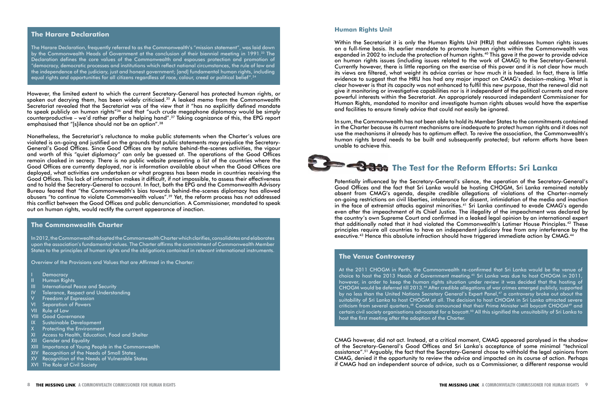However, the limited extent to which the current Secretary-General has protected human rights, or spoken out decrying them, has been widely criticised.<sup>35</sup> A leaked memo from the Commonwealth Secretariat revealed that the Secretariat was of the view that it "has no explicitly defined mandate to speak publicly on human rights"36 and that "such crude megaphone diplomacy would be simply counterproductive – we'd rather proffer a helping hand".<sup>37</sup> Taking cognizance of this, the EPG report emphasised that "[s]ilence should not be an option".38

Nonetheless, the Secretariat's reluctance to make public statements when the Charter's values are violated is on-going and justified on the grounds that public statements may prejudice the Secretary-General's Good Offices. Since Good Offices are by nature behind-the-scenes activities, the vigour and worth of this "quiet diplomacy" can only be guessed at. The operations of the Good Offices remain cloaked in secrecy. There is no public website presenting a list of the countries where the Good Offices are currently deployed, nor is information available about when the Good Offices are deployed, what activities are undertaken or what progress has been made in countries receiving the Good Offices. This lack of information makes it difficult, if not impossible, to assess their effectiveness and to hold the Secretary-General to account. In fact, both the EPG and the Commonwealth Advisory Bureau feared that "the Commonwealth's bias towards behind-the-scenes diplomacy has allowed abusers "to continue to violate Commonwealth values".39 Yet, the reform process has not addressed this conflict between the Good Offices and public denunciation. A Commissioner, mandated to speak out on human rights, would rectify the current appearance of inaction.

- **Democracy**
- II Human Rights
- III International Peace and Security
- IV Tolerance, Respect and Understanding
- Freedom of Expression
- VI Separation of Powers
- VII Rule of Law
- VIII Good Governance
- IX Sustainable Development
- X Protecting the Environment
- XI Access to Health, Education, Food and Shelter
- XII Gender and Equality
- XIII Importance of Young People in the Commonwealth
- XIV Recognition of the Needs of Small States
- XV Recognition of the Needs of Vulnerable States
- XVI The Role of Civil Society

#### **The Harare Declaration**

The Harare Declaration, frequently referred to as the Commonwealth's "mission statement", was laid down by the Commonwealth Heads of Government at the conclusion of their biennial meeting in 1991.<sup>33</sup> The Declaration defines the core values of the Commonwealth and espouses protection and promotion of "democracy, democratic processes and institutions which reflect national circumstances, the rule of law and the independence of the judiciary, just and honest government; [and] fundamental human rights, including equal rights and opportunities for all citizens regardless of race, colour, creed or political belief".34

> Potentially influenced by the Secretary-General's silence, the operation of the Secretary-General's Good Offices and the fact that Sri Lanka would be hosting CHOGM, Sri Lanka remained notably absent from CMAG's agenda, despite credible allegations of violations of the Charter–namely on-going restrictions on civil liberties, intolerance for dissent, intimidation of the media and inaction in the face of extremist attacks against minorities.<sup>41</sup> Sri Lanka continued to evade CMAG's agenda even after the impeachment of its Chief Justice. The illegality of the impeachment was declared by the country's own Supreme Court and confirmed in a leaked legal opinion by an international expert that additionally noted that it had violated the Commonwealth's Latimer House Principles.42 These principles require all countries to have an independent judiciary free from any interference by the executive.<sup>43</sup> Hence this absolute infraction should have triggered immediate action by CMAG.<sup>44</sup>

#### **The Commonwealth Charter**

In 2012, the Commonwealth adopted the Commonwealth Charter which clarifies, consolidates and elaborates upon the association's fundamental values. The Charter affirms the commitment of Commonwealth Member States to the principles of human rights and the obligations contained in relevant international instruments.

Overview of the Provisions and Values that are Affirmed in the Charter:

#### **Human Rights Unit**

Within the Secretariat it is only the Human Rights Unit (HRU) that addresses human rights issues on a full-time basis. Its earlier mandate to promote human rights within the Commonwealth was expanded in 2002 to include the protection of human rights.<sup>40</sup> This gave it the power to provide advice on human rights issues (including issues related to the work of CMAG) to the Secretary-General. Currently however, there is little reporting on the exercise of this power and it is not clear how much its views are filtered, what weight its advice carries or how much it is heeded. In fact, there is little evidence to suggest that the HRU has had any major impact on CMAG's decision–making. What is clear however is that its capacity was not enhanced to fulfil this new purpose, that the renewal did not give it monitoring or investigative capabilities nor is it independent of the political currents and more powerful interests within the Secretariat. An appropriately resourced independent Commissioner for Human Rights, mandated to monitor and investigate human rights abuses would have the expertise and facilities to ensure timely advice that could not easily be ignored.

In sum, the Commonwealth has not been able to hold its Member States to the commitments contained in the Charter because its current mechanisms are inadequate to protect human rights and it does not use the mechanisms it already has to optimum effect. To revive the association, the Commonwealth's human rights brand needs to be built and subsequently protected; but reform efforts have been unable to achieve this.



CMAG however, did not act. Instead, at a critical moment, CMAG appeared paralysed in the shadow of the Secretary-General's Good Offices and Sri Lanka's acceptance of some minimal "technical assistance".51 Arguably, the fact that the Secretary-General chose to withhold the legal opinions from CMAG, denied it the opportunity to review the advice and impacted on its course of action. Perhaps if CMAG had an independent source of advice, such as a Commissioner, a different response would

#### **The Venue Controversy**

At the 2011 CHOGM in Perth, the Commonwealth re-confirmed that Sri Lanka would be the venue of choice to host the 2013 Heads of Government meeting.<sup>45</sup> Sri Lanka was due to host CHOGM in 2011, however, in order to keep the human rights situation under review it was decided that the hosting of CHOGM would be deferred till 2013.46 After credible allegations of war crimes emerged publicly, supported by no less than the United Nations Secretary General's Expert Panel,<sup>47</sup> a controversy broke out about the suitability of Sri Lanka to host CHOGM at all. The decision to host CHOGM in Sri Lanka attracted severe criticism from several quarters,48 Canada announced that their Prime Minister will boycott CHOGM49 and certain civil society organisations advocated for a boycott.<sup>50</sup> All this signified the unsuitability of Sri Lanka to host the first meeting after the adoption of the Charter.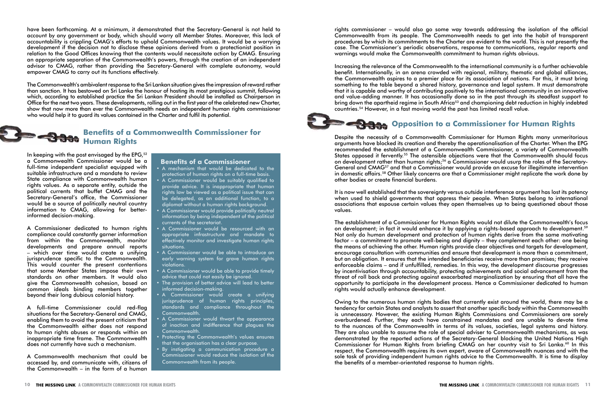The Commonwealth's ambivalent response to the Sri Lankan situation gives the impression of reward rather than sanction. It has bestowed on Sri Lanka the honour of hosting its most prestigious summit, following which, according to established practice the Sri Lankan President should be installed as Chairperson in Office for the next two years. These developments, rolling out in the first year of the celebrated new Charter, show that now more than ever the Commonwealth needs an independent human rights commissioner who would help it to guard its values contained in the Charter and fulfil its potential.

have been forthcoming. At a minimum, it demonstrated that the Secretary-General is not held to account by any government or body, which should worry all Member States. Moreover, this lack of accountability is crippling CMAG's efforts to uphold Commonwealth values. It would be a worrying development if the decision not to disclose these opinions derived from a protectionist position in relation to the Good Offices knowing that the contents would necessitate action by CMAG. Ensuring an appropriate separation of the Commonwealth's powers, through the creation of an independent advisor to CMAG, rather than providing the Secretary-General with complete autonomy, would empower CMAG to carry out its functions effectively.

### **Benefits of a Commonwealth Commissioner for Human Rights**

In keeping with the post envisaged by the EPG,<sup>52</sup> a Commonwealth Commissioner would be a full-time independent specialist equipped with suitable infrastructure and a mandate to review State compliance with Commonwealth human rights values. As a separate entity, outside the political currents that buffet CMAG and the Secretary-General's office, the Commissioner would be a source of politically neutral country information to CMAG, allowing for betterinformed decision-making.

A Commissioner dedicated to human rights compliance could constantly garner information from within the Commonwealth, monitor developments and prepare annual reports – which over time would create a unifying jurisprudence specific to the Commonwealth. This would counter the present contentions that some Member States impose their own standards on other members. It would also give the Commonwealth cohesion, based on common ideals binding members together beyond their long dubious colonial history.

A full–time Commissioner could red-flag situations for the Secretary-General and CMAG, enabling them to avoid the present criticism that the Commonwealth either does not respond to human rights abuses or responds within an inappropriate time frame. The Commonwealth does not currently have such a mechanism.

A Commonwealth mechanism that could be accessed by, and communicate with, citizens of the Commonwealth – in the form of a human rights commissioner – would also go some way towards addressing the isolation of the official Commonwealth from its people. The Commonwealth needs to get into the habit of transparent procedures by which its commitments to the Charter are evident to the world. This is not presently the case. The Commissioner's periodic observations, response to communications, regular reports and warnings would make the Commonwealth commitment to human rights obvious.

Increasing the relevance of the Commonwealth to the international community is a further achievable benefit. Internationally, in an arena crowded with regional, military, thematic and global alliances, the Commonwealth aspires to a premier place for its association of nations. For this, it must bring something to the table beyond a shared history, governance and legal system. It must demonstrate that it is capable and worthy of contributing positively to the international community in an innovative and value-adding manner. It has occasionally done so in the past through its steadfast support to bring down the apartheid regime in South Africa<sup>53</sup> and championing debt reduction in highly indebted countries.54 However, in a fast moving world the past has limited recall value.



- A mechanism that would be dedicated to the protection of human rights on a full-time basis.
- A Commissioner would be suitably qualified to provide advice. It is inappropriate that human rights law be viewed as a political issue that can be delegated, as an additional function, to a diplomat without a human rights background.
- A Commissioner would provide politically neutral information by being independent of the political currents of the secretariat.
- A Commissioner would be resourced with an appropriate infrastructure and mandate to effectively monitor and investigate human rights situations.
- A Commissioner would be able to introduce an early warning system for grave human rights violations.
- A Commissioner would be able to provide timely advice that could not easily be ignored.
- The provision of better advice will lead to better informed decision-making.
- A Commissioner would create a unifying jurisprudence of human rights principles, standards and compliance throughout the Commonwealth.
- • A Commissioner would thwart the appearance of inaction and indifference that plagues the Commonwealth.
- Protecting the Commonwealth's values ensures that the organisation has a clear purpose.
- • By instigating a communication procedure a Commissioner would reduce the isolation of the Commonwealth from its people.

Despite the necessity of a Commonwealth Commissioner for Human Rights many unmeritorious arguments have blocked its creation and thereby the operationalisation of the Charter. When the EPG recommended the establishment of a Commonwealth Commissioner, a variety of Commonwealth States opposed it fervently.<sup>55</sup> The ostensible objections were that the Commonwealth should focus on development rather than human rights;<sup>56</sup> a Commissioner would usurp the roles of the Secretary-General and CMAG57 and that a Commissioner would provide an excuse for illegitimate intervention in domestic affairs.58 Other likely concerns are that a Commissioner might replicate the work done by other bodies or create financial burdens.

It is now well established that the sovereignty versus outside interference argument has lost its potency when used to shield governments that oppress their people. When States belong to international associations that espouse certain values they open themselves up to being questioned about those values.

The establishment of a Commissioner for Human Rights would not dilute the Commonwealth's focus on development; in fact it would enhance it by applying a rights-based approach to development.<sup>59</sup> Not only do human development and protection of human rights derive from the same motivating factor – a commitment to promote well-being and dignity – they complement each other: one being the means of achieving the other. Human rights provide clear objectives and targets for development, encourage consultation with communities and ensure that development is more than a commitment, but an obligation. It ensures that the intended beneficiaries receive more than promises; they receive enforceable claims – and if unfulfilled, remedies. In this way, the development discourse progresses by incentivisation through accountability, protecting achievements and social advancement from the threat of roll back and protecting against exacerbated marginalization by ensuring that all have the opportunity to participate in the development process. Hence a Commissioner dedicated to human rights would actually enhance development.

Owing to the numerous human rights bodies that currently exist around the world, there may be a tendency for certain States and analysts to assert that another specific body within the Commonwealth is unnecessary. However, the existing Human Rights Commissions and Commissioners are sorely overburdened. Further, they each have constrained mandates and are unable to devote time to the nuances of the Commonwealth in terms of its values, societies, legal systems and history. They are also unable to assume the role of special adviser to Commonwealth mechanisms, as was demonstrated by the reported actions of the Secretary-General blocking the United Nations High Commissioner for Human Rights from briefing CMAG on her country visit to Sri Lanka.<sup>60</sup> In this respect, the Commonwealth requires its own expert, aware of Commonwealth nuances and with the sole task of providing independent human rights advice to the Commonwealth. It is time to display the benefits of a member-orientated response to human rights.

#### **Benefits of a Commissioner**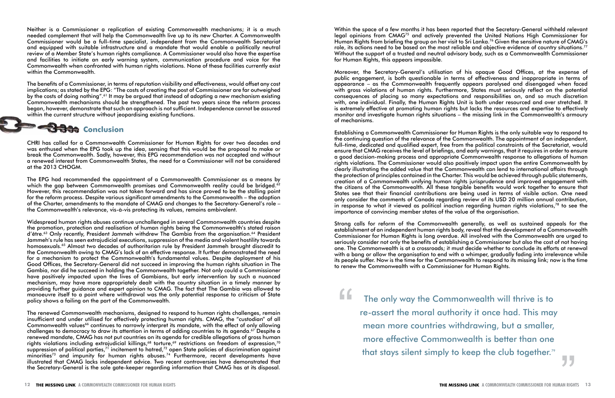"

Within the space of a few months it has been reported that the Secretary-General withheld relevant legal opinions from CMAG75 and actively prevented the United Nations High Commissioner for Human Rights from briefing the group on her visit to Sri Lanka.<sup>76</sup> Given the sensitive nature of CMAG's role, its actions need to be based on the most reliable and objective evidence of country situations.<sup>77</sup> Without the support of a trusted and neutral advisory body, such as a Commonwealth Commissioner for Human Rights, this appears impossible.

Moreover, the Secretary-General's utilisation of his opaque Good Offices, at the expense of public engagement, is both questionable in terms of effectiveness and inappropriate in terms of appearance – as the Commonwealth frequently appears paralysed and disengaged when faced with gross violations of human rights. Furthermore, States must seriously reflect on the potential consequences of placing so many expectations and responsibilities on, and so much discretion with, one individual. Finally, the Human Rights Unit is both under resourced and over stretched. It is extremely effective at promoting human rights but lacks the resources and expertise to effectively monitor and investigate human rights situations – the missing link in the Commonwealth's armoury of mechanisms.

The benefits of a Commissioner, in terms of reputation visibility and effectiveness, would offset any cost implications; as stated by the EPG: "The costs of creating the post of Commissioner are far outweighed by the costs of doing nothing".61 It may be argued that instead of adopting a new mechanism existing Commonwealth mechanisms should be strengthened. The past two years since the reform process began, however, demonstrate that such an approach is not sufficient. Independence cannot be assured within the current structure without jeopardising existing functions.

### **Conclusion**

Establishing a Commonwealth Commissioner for Human Rights is the only suitable way to respond to the continuing question of the relevance of the Commonwealth. The appointment of an independent, full–time, dedicated and qualified expert, free from the political constraints of the Secretariat, would ensure that CMAG receives the level of briefings, and early warnings, that it requires in order to ensure a good decision-making process and appropriate Commonwealth response to allegations of human rights violations. The Commissioner would also positively impact upon the entire Commonwealth by clearly illustrating the added value that the Commonwealth can lend to international affairs through the protection of principles contained in the Charter. This would be achieved through public statements, creation of a Commonwealth unifying human rights jurisprudence and improved engagement with the citizens of the Commonwealth. All these tangible benefits would work together to ensure that States see that their financial contributions are being used in terms of visible action. One need only consider the comments of Canada regarding review of its USD 20 million annual contribution, in response to what it viewed as political inaction regarding human rights violations,78 to see the importance of convincing member states of the value of the organisation.

Strong calls for reform of the Commonwealth generally, as well as sustained appeals for the establishment of an independent human rights body, reveal that the development of a Commonwealth Commissioner for Human Rights is long overdue. All involved with the Commonwealth are urged to seriously consider not only the benefits of establishing a Commissioner but also the cost of not having one. The Commonwealth is at a crossroads; it must decide whether to conclude its efforts at renewal with a bang or allow the organisation to end with a whimper, gradually fading into irrelevance while its people suffer. Now is the time for the Commonwealth to respond to its missing link; now is the time to renew the Commonwealth with a Commissioner for Human Rights.

Neither is a Commissioner a replication of existing Commonwealth mechanisms; it is a much needed complement that will help the Commonwealth live up to its new Charter. A Commonwealth Commissioner would be a full–time specialist, independent from the Commonwealth Secretariat and equipped with suitable infrastructure and a mandate that would enable a politically neutral review of a Member State's human rights compliance. A Commissioner would also have the expertise and facilities to initiate an early warning system, communication procedure and voice for the Commonwealth when confronted with human rights violations. None of these facilities currently exist within the Commonwealth.

> The only way the Commonwealth will thrive is to re-assert the moral authority it once had. This may mean more countries withdrawing, but a smaller, more effective Commonwealth is better than one that stays silent simply to keep the club together.<sup>79</sup>

"<br>"<br>"

CHRI has called for a Commonwealth Commissioner for Human Rights for over two decades and was enthused when the EPG took up the idea, sensing that this would be the proposal to make or break the Commonwealth. Sadly, however, this EPG recommendation was not accepted and without a renewed interest from Commonwealth States, the need for a Commissioner will not be considered at the 2013 CHOGM.

The EPG had recommended the appointment of a Commonwealth Commissioner as a means by which the gap between Commonwealth promises and Commonwealth reality could be bridged.<sup>62</sup> However, this recommendation was not taken forward and has since proved to be the stalling point for the reform process. Despite various significant amendments to the Commonwealth – the adoption of the Charter, amendments to the mandate of CMAG and changes to the Secretary-General's role – the Commonwealth's relevance, vis-à-vis protecting its values, remains ambivalent.

Widespread human rights abuses continue unchallenged in several Commonwealth countries despite the promotion, protection and realisation of human rights being the Commonwealth's stated raison d'être.<sup>63</sup> Only recently, President Jammeh withdrew The Gambia from the organisation.<sup>64</sup> President Jammeh's rule has seen extrajudicial executions, suppression of the media and violent hostility towards homosexuals.65 Almost two decades of authoritarian rule by President Jammeh brought discredit to the Commonwealth owing to CMAG's lack of an effective response. It further demonstrated the need for a mechanism to protect the Commonwealth's fundamental values. Despite deployment of his Good Offices, the Secretary-General did not succeed in improving the human rights situation in The Gambia, nor did he succeed in holding the Commonwealth together. Not only could a Commissioner have positively impacted upon the lives of Gambians, but early intervention by such a nuanced mechanism, may have more appropriately dealt with the country situation in a timely manner by providing further guidance and expert opinion to CMAG. The fact that The Gambia was allowed to manoeuvre itself to a point where withdrawal was the only potential response to criticism of State policy shows a failing on the part of the Commonwealth.

The renewed Commonwealth mechanisms, designed to respond to human rights challenges, remain insufficient and under utilised for effectively protecting human rights. CMAG, the "custodian" of all Commonwealth values<sup>66</sup> continues to narrowly interpret its mandate, with the effect of only allowing challenges to democracy to draw its attention in terms of adding countries to its agenda.<sup>67</sup> Despite a renewed mandate, CMAG has not put countries on its agenda for credible allegations of gross human rights violations including extrajudicial killings,<sup>68</sup> torture,<sup>69</sup> restrictions on freedom of expression,<sup>70</sup> suppression of political parties,<sup>71</sup> incitement to hatred,<sup>72</sup> open State policies of discrimination against minorities<sup>73</sup> and impunity for human rights abuses.<sup>74</sup> Furthermore, recent developments have illustrated that CMAG lacks independent advice. Two recent controversies have demonstrated that the Secretary-General is the sole gate-keeper regarding information that CMAG has at its disposal.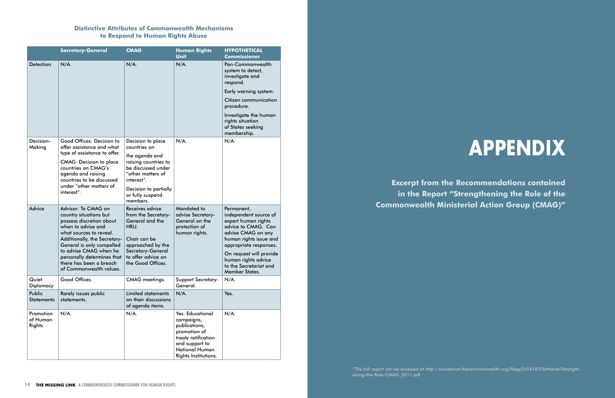#### **Distinctive Attributes of Commonwealth Mechanisms to Respond to Human Rights Abuse**

|                                        | <b>Secretary-General</b>                                                                                                                                                                                                                                                                              | <b>CMAG</b>                                                                                                                                                                                          | <b>Human Rights</b><br><b>Unit</b>                                                                                                                        | <b>HYPOTHETICAL</b><br><b>Commissioner</b>                                                                                                                                                                                                                       |
|----------------------------------------|-------------------------------------------------------------------------------------------------------------------------------------------------------------------------------------------------------------------------------------------------------------------------------------------------------|------------------------------------------------------------------------------------------------------------------------------------------------------------------------------------------------------|-----------------------------------------------------------------------------------------------------------------------------------------------------------|------------------------------------------------------------------------------------------------------------------------------------------------------------------------------------------------------------------------------------------------------------------|
| <b>Detection</b>                       | $N/A$ .                                                                                                                                                                                                                                                                                               | $N/A$ .                                                                                                                                                                                              | $N/A$ .                                                                                                                                                   | Pan-Commonwealth<br>system to detect,<br>investigate and<br>respond.<br>Early warning system.<br>Citizen communication<br>procedure.<br>Investigate the human<br>rights situation<br>of States seeking<br>membership.                                            |
| Decision-<br>Making                    | Good Offices: Decision to<br>offer assistance and what<br>type of assistance to offer.<br><b>CMAG: Decision to place</b><br>countries on CMAG's<br>agenda and raising<br>countries to be discussed<br>under "other matters of<br>interest".                                                           | Decision to place<br>countries on<br>the agenda and<br>raising countries to<br>be discussed under<br>"other matters of<br>interest".<br><b>Decision to partially</b><br>or fully suspend<br>members. | $N/A$ .                                                                                                                                                   | $N/A$ .                                                                                                                                                                                                                                                          |
| Advice                                 | Advisor: To CMAG on<br>country situations but<br>possess discretion about<br>when to advise and<br>what sources to reveal.<br>Additionally, the Secretary-<br>General is only compelled<br>to advise CMAG when he<br>personally determines that<br>there has been a breach<br>of Commonwealth values. | Receives advice<br>from the Secretary-<br>General and the<br>HRU.<br>Chair can be<br>approached by the<br>Secretary-General<br>to offer advice on<br>the Good Offices.                               | <b>Mandated to</b><br>advise Secretary-<br>General on the<br>protection of<br>human rights.                                                               | Permanent,<br>independent source of<br>expert human rights<br>advice to CMAG. Can<br>advise CMAG on any<br>human rights issue and<br>appropriate responses.<br>On request will provide<br>human rights advice<br>to the Secretariat and<br><b>Member States.</b> |
| Quiet<br>Diplomacy                     | Good Offices.                                                                                                                                                                                                                                                                                         | CMAG meetings.                                                                                                                                                                                       | <b>Support Secretary-</b><br>General.                                                                                                                     | $N/A$ .                                                                                                                                                                                                                                                          |
| Public<br><b>Statements</b>            | Rarely issues public<br>statements.                                                                                                                                                                                                                                                                   | <b>Limited statements</b><br>on their discussions<br>of agenda items.                                                                                                                                | $N/A$ .                                                                                                                                                   | Yes.                                                                                                                                                                                                                                                             |
| Promotion<br>of Human<br><b>Rights</b> | $N/A$ .                                                                                                                                                                                                                                                                                               | $N/A$ .                                                                                                                                                                                              | Yes: Educational<br>campaigns,<br>publications,<br>promotion of<br>treaty ratification<br>and support to<br><b>National Human</b><br>Rights Institutions. | $N/A$ .                                                                                                                                                                                                                                                          |

# **Appendix**

**Excerpt from the Recommendations contained in the Report "Strengthening the Role of the Commonwealth Ministerial Action Group (CMAG)"**

\*The full report can be accessed at http://secretariat.thecommonwealth.org/filegy245418/FileName/Strength-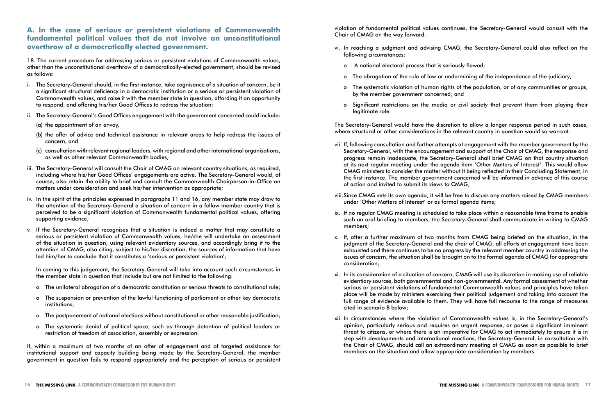- following circumstances:
	- o A national electoral process that is seriously flawed;
	-
	- by the member government concerned; and
	- legitimate role.

violation of fundamental political values continues, the Secretary-General would consult with the Chair of CMAG on the way forward.

vi. In reaching a judgment and advising CMAG, the Secretary-General could also reflect on the

The Secretary-General would have the discretion to allow a longer response period in such cases, where structural or other considerations in the relevant country in question would so warrant.

o The abrogation of the rule of law or undermining of the independence of the judiciary;

o The systematic violation of human rights of the population, or of any communities or groups,

o Significant restrictions on the media or civil society that prevent them from playing their

vii. If, following consultation and further attempts at engagement with the member government by the Secretary-General, with the encouragement and support of the Chair of CMAG, the response and progress remain inadequate, the Secretary-General shall brief CMAG on that country situation at its next regular meeting under the agenda item 'Other Matters of Interest'. This would allow CMAG ministers to consider the matter without it being reflected in their Concluding Statement, in the first instance. The member government concerned will be informed in advance of this course

viii.Since CMAG sets its own agenda, it will be free to discuss any matters raised by CMAG members

ix. If no regular CMAG meeting is scheduled to take place within a reasonable time frame to enable such an oral briefing to members, the Secretary-General shall communicate in writing to CMAG

x. If, after a further maximum of two months from CMAG being briefed on the situation, in the judgment of the Secretary-General and the chair of CMAG, all efforts at engagement have been exhausted and there continues to be no progress by the relevant member country in addressing the issues of concern, the situation shall be brought on to the formal agenda of CMAG for appropriate

- of action and invited to submit its views to CMAG;
- under 'Other Matters of Interest' or as formal agenda items;
- members;
- consideration;
- cited in scenario B below;
- members on the situation and allow appropriate consideration by members.

xi. In its consideration of a situation of concern, CMAG will use its discretion in making use of reliable evidentiary sources, both governmental and non-governmental. Any formal assessment of whether serious or persistent violations of fundamental Commonwealth values and principles have taken place will be made by ministers exercising their political judgement and taking into account the full range of evidence available to them. They will have full recourse to the range of measures

xii. In circumstances where the violation of Commonwealth values is, in the Secretary-General's opinion, particularly serious and requires an urgent response, or poses a significant imminent threat to citizens, or where there is an imperative for CMAG to act immediately to ensure it is in step with developments and international reactions, the Secretary-General, in consultation with the Chair of CMAG, should call an extraordinary meeting of CMAG as soon as possible to brief

#### **A. In the case of serious or persistent violations of Commonwealth fundamental political values that do not involve an unconstitutional overthrow of a democratically elected government.**

18. The current procedure for addressing serious or persistent violations of Commonwealth values, other than the unconstitutional overthrow of a democratically-elected government, should be revised as follows:

- i. The Secretary-General should, in the first instance, take cognisance of a situation of concern, be it a significant structural deficiency in a democratic institution or a serious or persistent violation of Commonwealth values, and raise it with the member state in question, affording it an opportunity to respond, and offering his/her Good Offices to redress the situation;
- ii. The Secretary-General's Good Offices engagement with the government concerned could include:
	- (a) the appointment of an envoy,
	- (b) the offer of advice and technical assistance in relevant areas to help redress the issues of concern, and
	- (c) consultation with relevant regional leaders, with regional and other international organisations, as well as other relevant Commonwealth bodies;
- iii. The Secretary-General will consult the Chair of CMAG on relevant country situations, as required, including where his/her Good Offices' engagements are active. The Secretary-General would, of course, also retain the ability to brief and consult the Commonwealth Chairperson-in-Office on matters under consideration and seek his/her intervention as appropriate;
- iv. In the spirit of the principles expressed in paragraphs 11 and 16, any member state may draw to the attention of the Secretary-General a situation of concern in a fellow member country that is perceived to be a significant violation of Commonwealth fundamental political values, offering supporting evidence;
- v. If the Secretary-General recognises that a situation is indeed a matter that may constitute a serious or persistent violation of Commonwealth values, he/she will undertake an assessment of the situation in question, using relevant evidentiary sources, and accordingly bring it to the attention of CMAG, also citing, subject to his/her discretion, the sources of information that have led him/her to conclude that it constitutes a 'serious or persistent violation';

In coming to this judgement, the Secretary-General will take into account such circumstances in the member state in question that include but are not limited to the following:

- o The unilateral abrogation of a democratic constitution or serious threats to constitutional rule;
- o The suspension or prevention of the lawful functioning of parliament or other key democratic institutions;
- o The postponement of national elections without constitutional or other reasonable justification;
- o The systematic denial of political space, such as through detention of political leaders or restriction of freedom of association, assembly or expression.

If, within a maximum of two months of an offer of engagement and of targeted assistance for institutional support and capacity building being made by the Secretary-General, the member government in question fails to respond appropriately and the perception of serious or persistent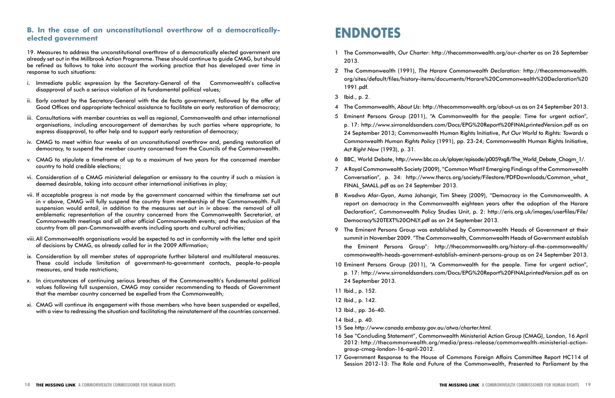#### **B. In the case of an unconstitutional overthrow of a democraticallyelected government**

19. Measures to address the unconstitutional overthrow of a democratically elected government are already set out in the Millbrook Action Programme. These should continue to guide CMAG, but should be refined as follows to take into account the working practice that has developed over time in response to such situations:

- i. Immediate public expression by the Secretary-General of the Commonwealth's collective disapproval of such a serious violation of its fundamental political values;
- ii. Early contact by the Secretary-General with the de facto government, followed by the offer of Good Offices and appropriate technical assistance to facilitate an early restoration of democracy;
- iii. Consultations with member countries as well as regional, Commonwealth and other international organisations, including encouragement of demarches by such parties where appropriate, to express disapproval, to offer help and to support early restoration of democracy;
- iv. CMAG to meet within four weeks of an unconstitutional overthrow and, pending restoration of democracy, to suspend the member country concerned from the Councils of the Commonwealth.
- v. CMAG to stipulate a timeframe of up to a maximum of two years for the concerned member country to hold credible elections;
- vi. Consideration of a CMAG ministerial delegation or emissary to the country if such a mission is deemed desirable, taking into account other international initiatives in play;
- vii. If acceptable progress is not made by the government concerned within the timeframe set out in v above, CMAG will fully suspend the country from membership of the Commonwealth. Full suspension would entail, in addition to the measures set out in iv above: the removal of all emblematic representation of the country concerned from the Commonwealth Secretariat, at Commonwealth meetings and all other official Commonwealth events; and the exclusion of the country from all pan-Commonwealth events including sports and cultural activities;
- viii.All Commonwealth organisations would be expected to act in conformity with the letter and spirit of decisions by CMAG, as already called for in the 2009 Affirmation;
- ix. Consideration by all member states of appropriate further bilateral and multilateral measures. These could include limitation of government-to-government contacts, people-to-people measures, and trade restrictions;
- x. In circumstances of continuing serious breaches of the Commonwealth's fundamental political values following full suspension, CMAG may consider recommending to Heads of Government that the member country concerned be expelled from the Commonwealth;
- xi. CMAG will continue its engagement with those members who have been suspended or expelled, with a view to redressing the situation and facilitating the reinstatement of the countries concerned.

## **ENDNOTES**

1 The Commonwealth, *Our Charter*: http://thecommonwealth.org/our-charter as on 26 September

2 The Commonwealth (1991), *The Harare Commonwealth Declaration:* http://thecommonwealth. org/sites/default/files/history-items/documents/Harare%20Commonwealth%20Declaration%20

4 The Commonwealth, *About Us*: http://thecommonwealth.org/about-us as on 24 September 2013. 5 Eminent Persons Group (2011), "A Commonwealth for the people: Time for urgent action"*,*  p. 17: http://www.sirronaldsanders.com/Docs/EPG%20Report%20FINALprintedVersion.pdf as on 24 September 2013; Commonwealth Human Rights Initiative, *Put Our World to Rights: Towards a Commonwealth Human Rights Policy* (1991), pp. 23-24; Commonwealth Human Rights Initiative,

6 BBC, World Debate, http://www.bbc.co.uk/iplayer/episode/p0059xg8/The\_World\_Debate\_Chogm\_1/. 7 A Royal Commonwealth Society (2009), "Common What? Emerging Findings of the Commonwealth Conversation"*,* p. 34: http://www.thercs.org/society/Filestore/PDFDownloads/Common\_what\_

- 2013.
- 1991.pdf.
- 3 Ibid., p. 2.
- 
- *Act Right Now* (1993), p. 31.
- 
- FINAL SMALL.pdf as on 24 September 2013.
- Democracy%20TEXT%20ONLY.pdf as on 24 September 2013.
- 
- 10 Eminent Persons Group (2011), "A Commonwealth for the people. Time for urgent action"*,*  24 September 2013.
- 11 Ibid., p. 152.
- 12 Ibid., p. 142.
- 13 Ibid., pp. 36-40.
- 14 Ibid., p. 40.
- 15 See *http://www.canada.embassy.gov.au/otwa/charter.html.*
- group-cmag-london-16-april-2012.
- 

8 Kwadwo Afar-Gyan, Asma Jahangir, Tim Sheey (2009), "Democracy in the Commonwealth. A report on democracy in the Commonwealth eighteen years after the adoption of the Harare Declaration"*,* Commonwealth Policy Studies Unit, p. 2: http://eris.org.uk/images/userfiles/File/

9 The Eminent Persons Group was established by Commonwealth Heads of Government at their summit in November 2009. "The Commonwealth, Commonwealth Heads of Government establish the Eminent Persons Group": http://thecommonwealth.org/history-of-the-commonwealth/ commonwealth-heads-government-establish-eminent-persons-group as on 24 September 2013.

p. 17: http://www.sirronaldsanders.com/Docs/EPG%20Report%20FINALprintedVersion.pdf as on

16 See "Concluding Statement", Commonwealth Ministerial Action Group (CMAG), London, 16 April 2012: http://thecommonwealth.org/media/press-release/commonwealth-ministerial-action-

17 Government Response to the House of Commons Foreign Affairs Committee Report HC114 of Session 2012-13: The Role and Future of the Commonwealth, Presented to Parliament by the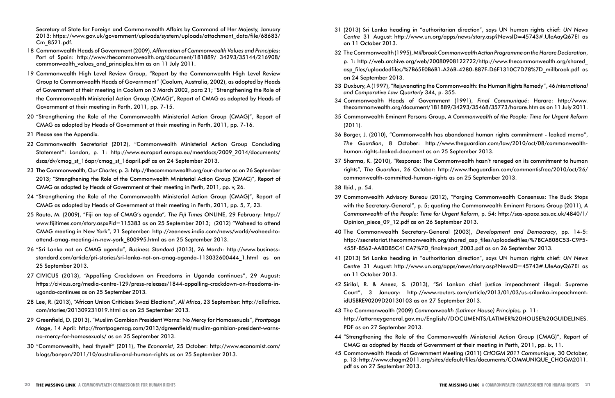Secretary of State for Foreign and Commonwealth Affairs by Command of Her Majesty, January 2013: https://www.gov.uk/government/uploads/system/uploads/attachment\_data/file/68683/ Cm\_8521.pdf.

- 18 Commonwealth Heads of Government (2009), *Affirmation of Commonwealth Values and Principles*: Port of Spain: http://www.thecommonwealth.org/document/181889/ 34293/35144/216908/ commonwealth values and principles.htm as on 11 July 2011.
- 19 Commonwealth High Level Review Group, "Report by the Commonwealth High Level Review Group to Commonwealth Heads of Government" (Coolum, Australia, 2002), as adopted by Heads of Government at their meeting in Coolum on 3 March 2002, para 21; "Strengthening the Role of the Commonwealth Ministerial Action Group (CMAG)", Report of CMAG as adopted by Heads of Government at their meeting in Perth, 2011, pp. 7-15.
- 20 "Strengthening the Role of the Commonwealth Ministerial Action Group (CMAG)", Report of CMAG as adopted by Heads of Government at their meeting in Perth, 2011, pp. 7-16.
- 21 Please see the Appendix.
- 22 Commonwealth Secretariat (2012), "Commonwealth Ministerial Action Group Concluding Statement": London, p. 1: http://www.europarl.europa.eu/meetdocs/2009\_2014/documents/ dsas/dv/cmag\_st\_16apr/cmag\_st\_16april.pdf as on 24 September 2013.
- 23 The Commonwealth, *Our Charter,* p. 3: http://thecommonwealth.org/our-charter as on 26 September 2013; "Strengthening the Role of the Commonwealth Ministerial Action Group (CMAG)", Report of CMAG as adopted by Heads of Government at their meeting in Perth, 2011, pp. v, 26.
- 24 "Strengthening the Role of the Commonwealth Ministerial Action Group (CMAG)", Report of CMAG as adopted by Heads of Government at their meeting in Perth, 2011, pp. 5, 7, 23.
- 25 Rauto, M. (2009), "Fiji on top of CMAG's agenda"*, The Fiji Times* ONLINE, 29 February: http:// www.fijitimes.com/story.aspx?id=115383 as on 25 September 2013; (2012) "Waheed to attend CMAG meeting in New York"*,* 21 September: http://zeenews.india.com/news/world/waheed-toattend-cmag-meeting-in-new-york\_800995.html as on 25 September 2013.
- 26 "Sri Lanka not on CMAG agenda", *Business Standard* (2013), 26 March: http://www.businessstandard.com/article/pti-stories/sri-lanka-not-on-cmag-agenda-113032600444\_1.html as on 25 September 2013.
- 27 CIVICUS (2013), "Appalling Crackdown on Freedoms in Uganda continues", 29 August: https://civicus.org/media-centre-129/press-releases/1844-appalling-crackdown-on-freedoms-inuganda-continues as on 25 September 2013.
- 28 Lee, R. (2013), "African Union Criticises Swazi Elections", *All Africa*, 23 September: http://allafrica. com/stories/201309231019.html as on 25 September 2013.
- 29 Greenfield, D. (2013), "Muslim Gambian President Warns: No Mercy for Homosexuals", *Frontpage Mage*, 14 April: http://frontpagemag.com/2013/dgreenfield/muslim-gambian-president-warnsno-mercy-for-homosexuals/ as on 25 September 2013.
- 30 "Commonwealth, heal thyself" (2011), *The Economist*, 25 October: http://www.economist.com/ blogs/banyan/2011/10/australia-and-human-rights as on 25 September 2013.

40 The Commonwealth Secretary-General (2003), *Development and Democracy*, pp. 14-5: http://secretariat.thecommonwealth.org/shared\_asp\_files/uploadedfiles/%7BCA808C53-C9F5-

31 (2013) Sri Lanka heading in "authoritarian direction", says UN human rights chief: *UN News Centre* 31 August: http://www.un.org/apps/news/story.asp?NewsID=45743#.UleAayQ67EI as

32 The Commonwealth (1995), *Millbrook Commonwealth Action Programme on the Harare Declaration*, p. 1: http://web.archive.org/web/20080908122722/http://www.thecommonwealth.org/shared\_ asp\_files/uploadedfiles/%7B65E0B6B1-A26B-4280-887F-D6F1310C7D78%7D\_millbrook.pdf as

33 Duxbury, A (1997), "Rejuvenating the Commonwealth: the Human Rights Remedy", 46 *International* 

34 Commonwealth Heads of Government (1991), *Final Communiqué*: Harare: http://www. thecommonwealth.org/document/181889/34293/35468/35773/harare.htm as on 11 July 2011.

35 Commonwealth Eminent Persons Group, *A Commonwealth of the People: Time for Urgent Reform*

36 Borger, J. (2010), "Commonwealth has abandoned human rights commitment - leaked memo", *The Guardian*, 8 October: http://www.theguardian.com/law/2010/oct/08/commonwealth-

37 Sharma, K. (2010), "Response: The Commonwealth hasn't reneged on its commitment to human rights"*, The Guardian*, 26 October: http://www.theguardian.com/commentisfree/2010/oct/26/

39 Commonwealth Advisory Bureau (2012), "Forging Commonwealth Consensus: The Buck Stops with the Secretary-General", p. 5; quoting the Commonwealth Eminent Persons Group (2011), *A Commonwealth of the People: Time for Urgent Reform*, p. 54: http://sas-space.sas.ac.uk/4840/1/

- on 11 October 2013.
- on 24 September 2013.
- *and Comparative Law Quarterly* 344, p. 355.
- 
- (2011).
- human-rights-leaked-document as on 25 September 2013.
- commonwealth-committed-human-rights as on 25 September 2013.
- 38 Ibid., p. 54.
- Opinion piece 09 12.pdf as on 26 September 2013.
- 455F-B562-AABDB5C41CA7%7D\_finalreport\_2003.pdf as on 26 September 2013.
- on 11 October 2013.
- idUSBRE90209D20130103 as on 27 September 2013.
- 43 The Commonwealth (2009) *Commonwealth (Latimer House) Principles,* p. 11: PDF as on 27 September 2013.
- 
- pdf as on 27 September 2013.

41 (2013) Sri Lanka heading in "authoritarian direction", says UN human rights chief: *UN News Centre* 31 August: http://www.un.org/apps/news/story.asp?NewsID=45743#.UleAayQ67EI as

42 Sirilal, R. & Aneez, S. (2013), "Sri Lankan chief justice impeachment illegal: Supreme Court", 3 January: http://www.reuters.com/article/2013/01/03/us-srilanka-impeachment-

http://attorneygeneral.gov.mu/English//DOCUMENTS/LATIMER%20HOUSE%20GUIDELINES.

44 "Strengthening the Role of the Commonwealth Ministerial Action Group (CMAG)", Report of CMAG as adopted by Heads of Government at their meeting in Perth, 2011, pp. ix, 11.

45 Commonwealth Heads of Government Meeting (2011) *CHOGM 2011 Communique,* 30 October, p. 13: http://www.chogm2011.org/sites/default/files/documents/COMMUNIQUE\_CHOGM2011.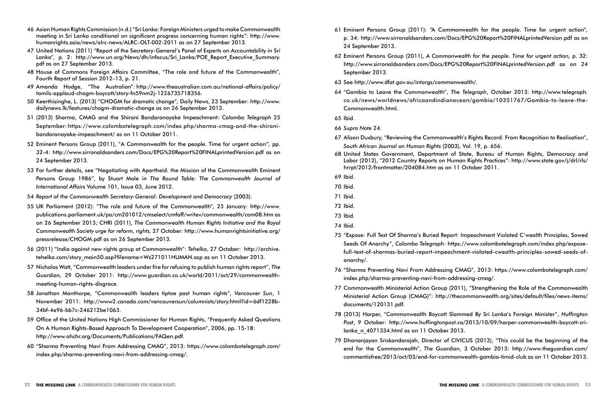- 46 Asian Human Rights Commission (n.d.) "Sri Lanka: Foreign Ministers urged to make Commonwealth meeting in Sri Lanka conditional on significant progress concerning human rights*"*: http://www. humanrights.asia/news/alrc-news/ALRC-OLT-002-2011 as on 27 September 2013.
- 47 United Nations (2011) "Report of the Secretary-General's Panel of Experts on Accountability in Sri Lanka", p. 2: http://www.un.org/News/dh/infocus/Sri Lanka/POE Report Executive Summary. pdf as on 27 September 2013.
- 48 House of Commons Foreign Affairs Committee, "The role and future of the Commonwealth", Fourth Report of Session 2012–13, p. 21.
- 49 Amanda Hodge, "The Australian": http://www.theaustralian.com.au/national-affairs/policy/ tamils-applaud-chogm-boycott/story-fn59nm2j-1226735718356.
- 50 Keerthisinghe, L. (2013) "CHOGM for dramatic change"*,* Daily News, 23 September: http://www. dailynews.lk/features/chogm-dramatic-change as on 26 September 2013.
- 51 (2013) Sharma, CMAG and the Shirani Bandaranayake Impeachment: *Colombo Telegraph* 25 September: https://www.colombotelegraph.com/index.php/sharma-cmag-and-the-shiranibandaranayake-impeachment/ as on 11 October 2011.
- 52 Eminent Persons Group (2011), "A Commonwealth for the people. Time for urgent action*",* pp. 32-4: http://www.sirronaldsanders.com/Docs/EPG%20Report%20FINALprintedVersion.pdf as on 24 September 2013.
- 53 For further details, see "Negotiating with Apartheid: the Mission of the Commonwealth Eminent Persons Group 1986", by Stuart Mole in *The Round Table: The Commonwealth Journal of International Affairs* Volume 101, Issue 03, June 2012.
- 54 *Report of the Commonwealth Secretary-General*: *Development and Democracy* (2003).
- 55 UK Parliament (2012): "The role and future of the Commonwealth"*,* 23 January: http://www. publications.parliament.uk/pa/cm201012/cmselect/cmfaff/writev/commonwealth/com08.htm as on 26 September 2013; CHRI (2011), *The Commonwealth Human Rights Initiative and the Royal Commonwealth Society urge for reform, rights,* 27 October: http://www.humanrightsinitiative.org/ pressrelease/CHOGM.pdf as on 26 September 2013.
- 56 (2011) "India against new rights group at Commonwealth": *Tehelka*, 27 October: http://archive. tehelka.com/story\_main50.asp?filename=Ws271011HUMAN.asp as on 11 October 2013.
- 57 Nicholas Watt, "Commonwealth leaders under fire for refusing to publish human rights report", *The Guardian,* 29 October 2011: http://www.guardian.co.uk/world/2011/oct/29/commonwealthmeeting-human-rights-disgrace.
- 58 Jonathan Manthorpe, "Commonwealth leaders tiptoe past human rights", *Vancouver Sun*, 1 November 2011: http://www2.canada.com/vancouversun/columnists/story.html?id=6df1228b-34bf-4e96-bb7c-246212be1063.
- 59 Office of the United Nations High Commissioner for Human Rights, "Frequently Asked Questions On A Human Rights-Based Approach To Development Cooperation", 2006, pp. 15-18: http://www.ohchr.org/Documents/Publications/FAQen.pdf.
- 60 "Sharma Preventing Navi From Addressing CMAG", 2013: https://www.colombotelegraph.com/ index.php/sharma-preventing-navi-from-addressing-cmag/.
- 24 September 2013.
- September 2013.
- 63 See http://www.dfat.gov.au/intorgs/commonwealth/.
- Commonwealth.html.
- 65 Ibid.
- 66 *Supra Note* 24.
- *South African Journal on Human Rights* (2003), Vol. 19, p. 656.
- hrrpt/2012/frontmatter/204084.htm as on 11 October 2011.
- 69 Ibid.
- 70 Ibid.
- 71 Ibid.
- 72 Ibid.
- 73 Ibid.
- 74 Ibid.
- anarchy/.
- index.php/sharma-preventing-navi-from-addressing-cmag/.
- documents/120131.pdf.
- lanka n 4071334.html as on 11 October 2013.
- 

61 Eminent Persons Group (2011): "A Commonwealth for the people. Time for urgent action"*,*  p. 34: http://www.sirronaldsanders.com/Docs/EPG%20Report%20FINALprintedVersion.pdf as on

62 Eminent Persons Group (2011), *A Commonwealth for the people. Time for urgent action,* p. 32: http://www.sirronaldsanders.com/Docs/EPG%20Report%20FINALprintedVersion.pdf as on 24

64 "Gambia to Leave the Commonwealth", *The Telegraph*, October 2013: http://www.telegraph. co.uk/news/worldnews/africaandindianocean/gambia/10351767/Gambia-to-leave-the-

67 Alison Duxbury, "Reviewing the Commonwealth's Rights Record: From Recognition to Realisation",

68 United States Government, Department of State, Bureau of Human Rights, Democracy and Labor (2012), "2012 Country Reports on Human Rights Practices": http://www.state.gov/j/drl/rls/

75 "Expose: Full Text Of Sharma's Buried Report: Impeachment Violated C'wealth Principles, Sowed Seeds Of Anarchy", *Colombo Telegraph*: https://www.colombotelegraph.com/index.php/exposefull-text-of-sharmas-buried-report-impeachment-violated-cwealth-principles-sowed-seeds-of-

76 "Sharma Preventing Navi From Addressing CMAG", 2013: https://www.colombotelegraph.com/

77 Commonwealth Ministerial Action Group (2011), "Strengthening the Role of the Commonwealth Ministerial Action Group (CMAG)": http://thecommonwealth.org/sites/default/files/news-items/

78 (2013) Harper, "Commonwealth Boycott Slammed By Sri Lanka's Foreign Minister", *Huffington Post*, 9 October: http://www.huffingtonpost.ca/2013/10/09/harper-commonwealth-boycott-sri-

79 Dhananjayan Sriskandarajah, Director of CIVICUS (2013), "This could be the beginning of the end for the Commonwealth", *The Guardian*, 3 October 2013: http://www.theguardian.com/ commentisfree/2013/oct/03/end-for-commonwealth-gambia-timid-club as on 11 October 2013.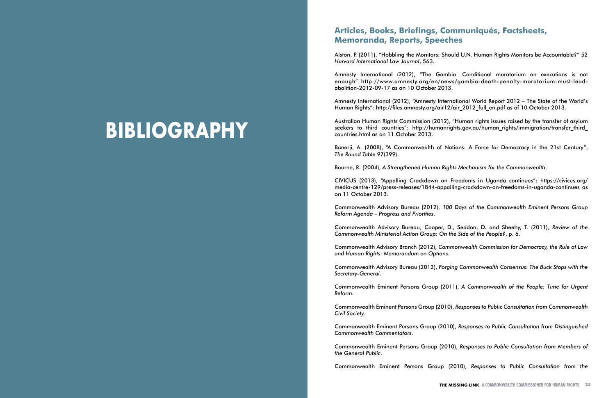#### **Articles, Books, Briefings, Communiqués, Factsheets, Memoranda, Reports, Speeches**

Alston, P. (2011), "Hobbling the Monitors: Should U.N. Human Rights Monitors be Accountable?" 52 *Harvard International Law Journal*, 563.

Amnesty International (2012), "Amnesty International World Report 2012 – The State of the World's Human Rights": http://files.amnesty.org/air12/air 2012 full en.pdf as of 10 October 2013.

Amnesty International (2012), "The Gambia: Conditional moratorium on executions is not enough": http://www.amnesty.org/en/news/gambia-death-penalty-moratorium-must-leadabolition-2012-09-17 as on 10 October 2013.

Banerji, A. (2008), "A Commonwealth of Nations: A Force for Democracy in the 21st Century", *The Round Table* 97(399).

Australian Human Rights Commission (2012), "Human rights issues raised by the transfer of asylum seekers to third countries": http://humanrights.gov.au/human rights/immigration/transfer third countries.html as on 11 October 2013.

Bourne, R. (2004), *A Strengthened Human Rights Mechanism for the Commonwealth*.

CIVICUS (2013), "Appalling Crackdown on Freedoms in Uganda continues": https://civicus.org/ media-centre-129/press-releases/1844-appalling-crackdown-on-freedoms-in-uganda-continues as on 11 October 2013.

Commonwealth Advisory Bureau (2012), *100 Days of the Commonwealth Eminent Persons Group Reform Agenda – Progress and Priorities*.

Commonwealth Advisory Bureau, Cooper, D., Seddon, D. and Sheehy, T. (2011), *Review of the Commonwealth Ministerial Action Group: On the Side of the People?*, p. 6.

Commonwealth Advisory Branch (2012), *Commonwealth Commission for Democracy, the Rule of Law and Human Rights: Memorandum on Options*.

Commonwealth Advisory Bureau (2012), *Forging Commonwealth Consensus: The Buck Stops with the Secretary-General*.

Commonwealth Eminent Persons Group (2011), *A Commonwealth of the People: Time for Urgent Reform.*

Commonwealth Eminent Persons Group (2010), *Responses to Public Consultation from Commonwealth Civil Society*.

Commonwealth Eminent Persons Group (2010), *Responses to Public Consultation from Distinguished Commonwealth Commentators*.

Commonwealth Eminent Persons Group (2010), *Responses to Public Consultation from Members of the General Public*.

Commonwealth Eminent Persons Group (2010), *Responses to Public Consultation from the* 

# **Bibliography**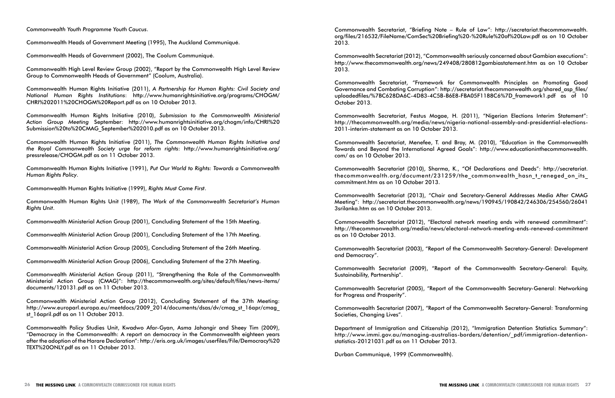*Commonwealth Youth Programme Youth Caucus*.

Commonwealth Heads of Government Meeting (1995), The Auckland Communiqué.

Commonwealth Heads of Government (2002), The Coolum Communiqué.

Commonwealth High Level Review Group (2002), "Report by the Commonwealth High Level Review Group to Commonwealth Heads of Government" (Coolum, Australia).

Commonwealth Human Rights Initiative (2011), *A Partnership for Human Rights: Civil Society and National Human Rights Institutions*: http://www.humanrightsinitiative.org/programs/CHOGM/ CHRI%202011%20CHOGM%20Report.pdf as on 10 October 2013.

Commonwealth Human Rights Initiative (2010), *Submission to the Commonwealth Ministerial Action Group Meeting* September: http://www.humanrightsinitiative.org/chogm/info/CHRI%20 Submission%20to%20CMAG\_September%202010.pdf as on 10 October 2013.

Commonwealth Human Rights Initiative (2011), *The Commonwealth Human Rights Initiative and the Royal Commonwealth Society urge for reform rights*: http://www.humanrightsinitiative.org/ pressrelease/CHOGM.pdf as on 11 October 2013.

Commonwealth Human Rights Initiative (1991), *Put Our World to Rights: Towards a Commonwealth Human Rights Policy*.

Commonwealth Human Rights Initiative (1999), *Rights Must Come First*.

Commonwealth Human Rights Unit (1989), *The Work of the Commonwealth Secretariat's Human Rights Unit*.

Commonwealth Ministerial Action Group (2001), Concluding Statement of the 15th Meeting.

Commonwealth Ministerial Action Group (2001), Concluding Statement of the 17th Meeting.

Commonwealth Ministerial Action Group (2005), Concluding Statement of the 26th Meeting.

Commonwealth Ministerial Action Group (2006), Concluding Statement of the 27th Meeting.

Commonwealth Ministerial Action Group (2011), "Strengthening the Role of the Commonwealth Ministerial Action Group (CMAG)": http://thecommonwealth.org/sites/default/files/news-items/ documents/120131.pdf as on 11 October 2013.

Commonwealth Ministerial Action Group (2012), Concluding Statement of the 37th Meeting: http://www.europarl.europa.eu/meetdocs/2009\_2014/documents/dsas/dv/cmag\_st\_16apr/cmag st\_16april.pdf as on 11 October 2013.

Commonwealth Policy Studies Unit, Kwadwo Afar-Gyan, Asma Jahangir and Sheey Tim (2009), "Democracy in the Commonwealth: A report on democracy in the Commonwealth eighteen years after the adoption of the Harare Declaration": http://eris.org.uk/images/userfiles/File/Democracy%20 TEXT%20ONLY.pdf as on 11 October 2013.

Commonwealth Secretariat, "Briefing Note – Rule of Law": http://secretariat.thecommonwealth. org/files/216532/FileName/ComSec%20Briefing%20-%20Rule%20of%20Law.pdf as on 10 October 2013.

Commonwealth Secretariat (2012), "Commonwealth seriously concerned about Gambian executions": http://www.thecommonwealth.org/news/249408/280812gambiastatement.htm as on 10 October 2013.

Commonwealth Secretariat, "Framework for Commonwealth Principles on Promoting Good Governance and Combating Corruption*"*: http://secretariat.thecommonwealth.org/shared\_asp\_files/ uploadedfiles/%7BC628DA6C-4D83-4C5B-B6E8-FBA05F1188C6%7D\_framework1.pdf as of 10 October 2013.

Commonwealth Secretariat, Festus Mogae, H. (2011), "Nigerian Elections Interim Statement": http://thecommonwealth.org/media/news/nigeria-national-assembly-and-presidential-elections-2011-interim-statement as on 10 October 2013.

Commonwealth Secretariat, Menefee, T. and Bray, M. (2010), "Education in the Commonwealth Towards and Beyond the International Agreed Goals": http://www.educationinthecommonwealth. com/ as on 10 October 2013.

Commonwealth Secretariat (2010), Sharma, K., *"*Of Declarations and Deeds": http://secretariat. thecommonwealth.org/document/231259/the commonwealth hasn t reneged on its commitment.htm as on 10 October 2013.

Commonwealth Secretariat (2013), "Chair and Secretary-General Addresses Media After CMAG Meeting": http://secretariat.thecommonwealth.org/news/190945/190842/246306/254560/26041 3srilanka.htm as on 10 October 2013.

Commonwealth Secretariat (2012), "Electoral network meeting ends with renewed commitment": http://thecommonwealth.org/media/news/electoral-network-meeting-ends-renewed-commitment as on 10 October 2013.

Commonwealth Secretariat (2003), "Report of the Commonwealth Secretary-General: Development and Democracy".

Commonwealth Secretariat (2009), "Report of the Commonwealth Secretary-General: Equity, Sustainability, Partnership".

Commonwealth Secretariat (2005), "Report of the Commonwealth Secretary-General: Networking for Progress and Prosperity".

Commonwealth Secretariat (2007), "Report of the Commonwealth Secretary-General: Transforming Societies, Changing Lives".

Department of Immigration and Citizenship (2012), "Immigration Detention Statistics Summary": http://www.immi.gov.au/managing-australias-borders/detention/\_pdf/immigration-detentionstatistics-20121031.pdf as on 11 October 2013.

Durban Communiqué, 1999 (Commonwealth).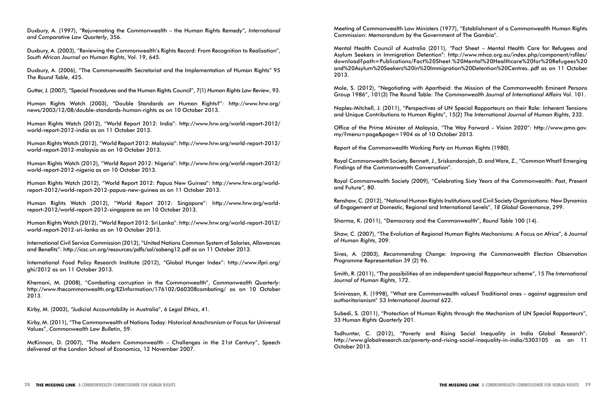Duxbury, A. (1997), "Rejuvenating the Commonwealth – the Human Rights Remedy"*, International and Comparative Law Quarterly*, 356.

Duxbury, A. (2003), "Reviewing the Commonwealth's Rights Record: From Recognition to Realisation", *South African Journal on Human Rights*, Vol. 19, 645.

Duxbury, A. (2006), "The Commonwealth Secretariat and the Implementation of Human Rights" 95 *The Round Table*, 425.

Gutter, J. (2007), "Special Procedures and the Human Rights Council", 7(1) *Human Rights Law Review*, 93.

Human Rights Watch (2003), "Double Standards on Human Rights?"*:* http://www.hrw.org/ news/2003/12/08/double-standards-human-rights as on 10 October 2013.

Human Rights Watch (2012), "World Report 2012: India": http://www.hrw.org/world-report-2012/ world-report-2012-india as on 11 October 2013.

Human Rights Watch (2012), "World Report 2012: Malaysia": http://www.hrw.org/world-report-2012/ world-report-2012-malaysia as on 10 October 2013.

Human Rights Watch (2012), "World Report 2012: Nigeria": http://www.hrw.org/world-report-2012/ world-report-2012-nigeria as on 10 October 2013.

Human Rights Watch (2012), "World Report 2012: Papua New Guinea": http://www.hrw.org/worldreport-2012/world-report-2012-papua-new-guinea as on 11 October 2013.

Human Rights Watch (2012), "World Report 2012: Singapore": http://www.hrw.org/worldreport-2012/world-report-2012-singapore as on 10 October 2013.

Human Rights Watch (2012), "World Report 2012: Sri Lanka": http://www.hrw.org/world-report-2012/ world-report-2012-sri-lanka as on 10 October 2013.

International Civil Service Commission (2012), "United Nations Common System of Salaries, Allowances and Benefits": http://icsc.un.org/resources/pdfs/sal/sabeng12.pdf as on 11 October 2013.

International Food Policy Research Institute (2012), *"*Global Hunger Index": http://www.ifpri.org/ ghi/2012 as on 11 October 2013.

Khemani, M. (2008), "Combating corruption in the Commonwealth", *Commonwealth Quarterly*: http://www.thecommonwealth.org/EZInformation/176102/060308combating/ as on 10 October 2013.

Kirby, M. (2003), "Judicial Accountability in Australia", 6 *Legal Ethics*, 41.

Kirby, M. (2011), "The Commonwealth of Nations Today: Historical Anachronism or Focus for Universal Values", *Commonwealth Law Bulletin*, 59.

McKinnon, D. (2007), "The Modern Commonwealth – Challenges in the 21st Century", Speech delivered at the London School of Economics, 12 November 2007.

Meeting of Commonwealth Law Ministers (1977), "Establishment of a Commonwealth Human Rights Commission: Memorandum by the Government of The Gambia".

Mental Health Council of Australia (2011), "Fact Sheet – Mental Health Care for Refugees and Asylum Seekers in Immigration Detention": http://www.mhca.org.au/index.php/component/rsfiles/ download?path=Publications/Fact%20Sheet.%20Mental%20Healthcare%20for%20Refugees%20 and%20Asylum%20Seekers%20in%20Immigration%20Detention%20Centres..pdf as on 11 October 2013.

Mole, S. (2012), "Negotiating with Apartheid: the Mission of the Commonwealth Eminent Persons Group 1986", 101(3) The Round Table: *The Commonwealth Journal of International Affairs* Vol. 101.

Naples-Mitchell, J. (2011), "Perspectives of UN Special Rapporteurs on their Role: Inherent Tensions and Unique Contributions to Human Rights", 15(2) *The International Journal of Human Rights*, 232.

Office of the Prime Minister of Malaysia, "The Way Forward – Vision 2020": http://www.pmo.gov. my/?menu=page&page=1904 as of 10 October 2013.

Report of the Commonwealth Working Party on Human Rights (1980).

Royal Commonwealth Society, Bennett, J., Sriskandarajah, D. and Ware, Z., "Common What? Emerging Findings of the Commonwealth Conversation".

Royal Commonwealth Society (2009), "Celebrating Sixty Years of the Commonwealth: Past, Present and Future*",* 80.

Renshaw, C. (2012), "National Human Rights Institutions and Civil Society Organizations: New Dynamics of Engagement at Domestic, Regional and International Levels", *18 Global Governance*, 299.

Sharma, K. (2011), "Democracy and the Commonwealth", *Round Table* 100 (14).

Shaw, C. (2007), "The Evolution of Regional Human Rights Mechanisms: A Focus on Africa", 6 *Journal of Human Rights*, 209.

Sives, A. (2003), *Recommending Change: Improving the Commonwealth Election Observation Programme* Representation 39 (2) 96.

Smith, R. (2011), "The possibilities of an independent special Rapporteur scheme", 15 *The International Journal of Human Rights*, 172.

Srinivasan, K. (1998), "What are Commonwealth values? Traditional ones – against aggression and authoritarianism" 53 *International Journal* 622.

Subedi, S. (2011), "Protection of Human Rights through the Mechanism of UN Special Rapporteurs", 33 *Human Rights Quarterly* 201.

Todhunter, C. (2012), "Poverty and Rising Social Inequality in India Global Research": http://www.globalresearch.ca/poverty-and-rising-social-inequality-in-india/5303105 as on 11 October 2013.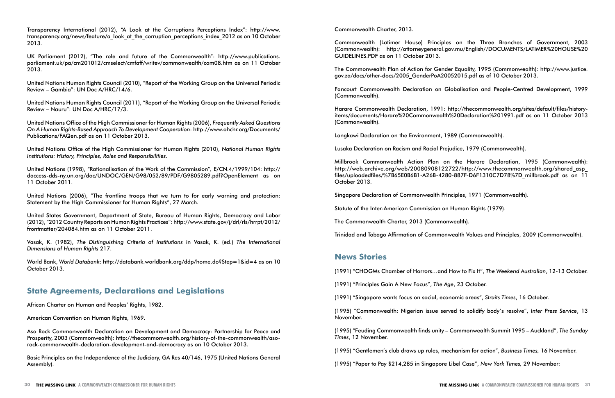Transparency International (2012), "A Look at the Corruptions Perceptions Index": http://www. transparency.org/news/feature/a\_look\_at\_the\_corruption\_perceptions\_index\_2012 as on 10 October 2013.

UK Parliament (2012), "The role and future of the Commonwealth": http://www.publications. parliament.uk/pa/cm201012/cmselect/cmfaff/writev/commonwealth/com08.htm as on 11 October 2013.

United Nations Human Rights Council (2010), "Report of the Working Group on the Universal Periodic Review – Gambia": UN Doc A/HRC/14/6.

United Nations Human Rights Council (2011), "Report of the Working Group on the Universal Periodic Review – Nauru": UN Doc A/HRC/17/3.

United Nations Office of the High Commissioner for Human Rights (2006), *Frequently Asked Questions On A Human Rights-Based Approach To Development Cooperation*: http://www.ohchr.org/Documents/ Publications/FAQen.pdf as on 11 October 2013.

United Nations Office of the High Commissioner for Human Rights (2010), *National Human Rights Institutions: History, Principles, Roles and Responsibilities*.

United Nations (1998), "Rationalisation of the Work of the Commission"*,* E/CN.4/1999/104: http:// daccess-dds-ny.un.org/doc/UNDOC/GEN/G98/052/89/PDF/G9805289.pdf?OpenElement as on 11 October 2011.

United Nations (2006), "The frontline troops that we turn to for early warning and protection: Statement by the High Commissioner for Human Rights", 27 March.

United States Government, Department of State, Bureau of Human Rights, Democracy and Labor (2012), "2012 Country Reports on Human Rights Practices": http://www.state.gov/j/drl/rls/hrrpt/2012/ frontmatter/204084.htm as on 11 October 2011.

Vasak, K. (1982), *The Distinguishing Criteria of Institutions* in Vasak, K. (ed.) *The International Dimensions of Human Rights* 217.

World Bank, *World Databank*: http://databank.worldbank.org/ddp/home.do?Step=1&id=4 as on 10 October 2013.

#### **State Agreements, Declarations and Legislations**

African Charter on Human and Peoples' Rights, 1982.

American Convention on Human Rights, 1969.

Aso Rock Commonwealth Declaration on Development and Democracy: Partnership for Peace and Prosperity, 2003 (Commonwealth): http://thecommonwealth.org/history-of-the-commonwealth/asorock-commonwealth-declaration-development-and-democracy as on 10 October 2013.

Basic Principles on the Independence of the Judiciary, GA Res 40/146, 1975 (United Nations General Assembly).

Commonwealth Charter, 2013.

Commonwealth (Latimer House) Principles on the Three Branches of Government, 2003 (Commonwealth): http://attorneygeneral.gov.mu/English//DOCUMENTS/LATIMER%20HOUSE%20 GUIDELINES.PDF as on 11 October 2013.

The Commonwealth Plan of Action for Gender Equality, 1995 (Commonwealth): http://www.justice. gov.za/docs/other-docs/2005\_GenderPoA20052015.pdf as of 10 October 2013.

Fancourt Commonwealth Declaration on Globalisation and People-Centred Development, 1999 (Commonwealth).

Harare Commonwealth Declaration, 1991: http://thecommonwealth.org/sites/default/files/historyitems/documents/Harare%20Commonwealth%20Declaration%201991.pdf as on 11 October 2013 (Commonwealth).

Langkawi Declaration on the Environment, 1989 (Commonwealth).

Lusaka Declaration on Racism and Racial Prejudice, 1979 (Commonwealth).

Millbrook Commonwealth Action Plan on the Harare Declaration, 1995 (Commonwealth): http://web.archive.org/web/20080908122722/http://www.thecommonwealth.org/shared\_asp\_ files/uploadedfiles/%7B65E0B6B1-A26B-4280-887F-D6F1310C7D78%7D\_millbrook.pdf as on 11 October 2013.

Singapore Declaration of Commonwealth Principles, 1971 (Commonwealth).

Statute of the Inter-American Commission on Human Rights (1979).

The Commonwealth Charter, 2013 (Commonwealth).

Trinidad and Tobago Affirmation of Commonwealth Values and Principles, 2009 (Commonwealth).

#### **News Stories**

(1991) "CHOGMs Chamber of Horrors…and How to Fix It", *The Weekend Australian*, 12-13 October.

(1991) "Principles Gain A New Focus", *The Age*, 23 October.

(1991) "Singapore wants focus on social, economic areas", *Straits Times*, 16 October.

(1995) "Commonwealth: Nigerian issue served to solidify body's resolve", *Inter Press Service*, 13 November.

(1995) "Feuding Commonwealth finds unity – Commonwealth Summit 1995 – Auckland", *The Sunday Times*, 12 November.

(1995) "Gentlemen's club draws up rules, mechanism for action", *Business Times,* 16 November.

(1995) "Paper to Pay \$214,285 in Singapore Libel Case", *New York Times,* 29 November: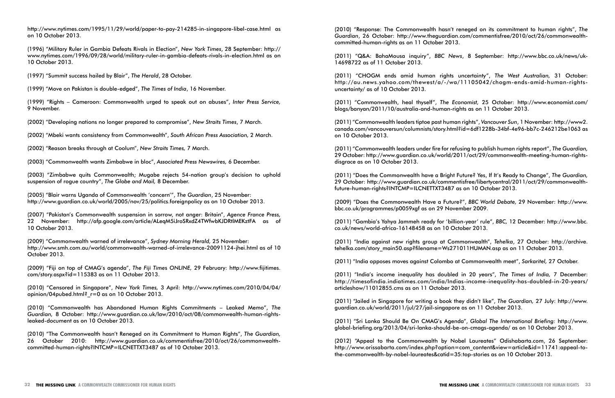http://www.nytimes.com/1995/11/29/world/paper-to-pay-214285-in-singapore-libel-case.html as on 10 October 2013.

(1996) "Military Ruler in Gambia Defeats Rivals in Election", *New York Times*, 28 September: http:// www.nytimes.com/1996/09/28/world/military-ruler-in-gambia-defeats-rivals-in-election.html as on 10 October 2013.

(1997) "Summit success hailed by Blair", *The Herald*, 28 October.

(1999) "Move on Pakistan is double-edged", *The Times of India*, 16 November.

(1999) "Rights – Cameroon: Commonwealth urged to speak out on abuses", *Inter Press Service,* 9 November.

(2002) "Developing nations no longer prepared to compromise", *New Straits Times*, 7 March.

(2002) "Mbeki wants consistency from Commonwealth", *South African Press Association,* 2 March.

(2002) "Reason breaks through at Coolum", *New Straits Times,* 7 March.

(2003) "Commonwealth wants Zimbabwe in bloc", *Associated Press Newswires,* 6 December.

(2003) "Zimbabwe quits Commonwealth; Mugabe rejects 54-nation group's decision to uphold suspension of rogue country", *The Globe and Mail,* 8 December.

(2005) "Blair warns Uganda of Commonwealth 'concern'", *The Guardian*, 25 November: http://www.guardian.co.uk/world/2005/nov/25/politics.foreignpolicy as on 10 October 2013.

(2007) "Pakistan's Commonwealth suspension in sorrow, not anger: Britain", *Agence France Press,*  22 November: http://afp.google.com/article/ALeqM5iJroSRxdZ4TWfwbKJDRtlMEKztFA as of 10 October 2013.

(2009) "Commonwealth warned of irrelevance", *Sydney Morning Herald,* 25 November: http://www.smh.com.au/world/commonwealth-warned-of-irrelevance-20091124-jhei.html as of 10 October 2013.

(2009) "Fiji on top of CMAG's agenda", *The Fiji Time*s *ONLINE,* 29 February: http://www.fijitimes. com/story.aspx?id=115383 as on 11 October 2013.

(2010) "Censored in Singapore", *New York Times,* 3 April: http://www.nytimes.com/2010/04/04/ opinion/04pubed.html?\_r=0 as on 10 October 2013.

(2010) "Commonwealth has Abandoned Human Rights Commitments – Leaked Memo", *The Guardian,* 8 October: http://www.guardian.co.uk/law/2010/oct/08/commonwealth-human-rightsleaked-document as on 10 October 2013.

(2010) "The Commonwealth hasn't Reneged on its Commitment to Human Rights", *The Guardian,* 26 October 2010: http://www.guardian.co.uk/commentisfree/2010/oct/26/commonwealthcommitted-human-rights?INTCMP=ILCNETTXT3487 as of 10 October 2013.

(2010) "Response: The Commonwealth hasn't reneged on its commitment to human rights", *The Guardian*, 26 October: http://www.theguardian.com/commentisfree/2010/oct/26/commonwealthcommitted-human-rights as on 11 October 2013.

(2011) "Q&A: BahaMousa inquiry", *BBC News*, 8 September: http://www.bbc.co.uk/news/uk-14698722 as of 11 October 2013.

(2011) "CHOGM ends amid human rights uncertainty", *The West Australian,* 31 October: http://au.news.yahoo.com/thewest/a/-/wa/11105042/chogm-ends-amid-human-rightsuncertainty/ as of 10 October 2013.

(2011) "Commonwealth, heal thyself", *The Economist,* 25 October: http://www.economist.com/ blogs/banyan/2011/10/australia-and-human-rights as on 11 October 2013.

(2011) "Commonwealth leaders tiptoe past human rights", *Vancouver Sun*, 1 November: http://www2. canada.com/vancouversun/columnists/story.html?id=6df1228b-34bf-4e96-bb7c-246212be1063 as on 10 October 2013.

(2011) "Commonwealth leaders under fire for refusing to publish human rights report", *The Guardian,*  29 October: http://www.guardian.co.uk/world/2011/oct/29/commonwealth-meeting-human-rightsdisgrace as on 10 October 2013.

(2011) "Does the Commonwealth have a Bright Future? Yes, If It's Ready to Change", *The Guardian,*  29 October: http://www.guardian.co.uk/commentisfree/libertycentral/2011/oct/29/commonwealthfuture-human-rights?INTCMP=ILCNETTXT3487 as on 10 October 2013.

(2009) "Does the Commonwealth Have a Future?", *BBC World Debate,* 29 November: http://www. bbc.co.uk/programmes/p0059xgf as on 29 November 2009.

(2011) "Gambia's Yahya Jammeh ready for 'billion-year' rule", *BBC,* 12 December: http://www.bbc. co.uk/news/world-africa-16148458 as on 10 October 2013.

(2011) "India against new rights group at Commonwealth", *Tehelka*, 27 October: http://archive. tehelka.com/story\_main50.asp?filename=Ws271011HUMAN.asp as on 11 October 2013.

(2011) "India opposes moves against Colombo at Commonwealth meet", *Sarkaritel,* 27 October.

(2011) "India's income inequality has doubled in 20 years", *The Times of India,* 7 December: http://timesofindia.indiatimes.com/india/Indias-income-inequality-has-doubled-in-20-years/ articleshow/11012855.cms as on 11 October 2013.

(2011) "Jailed in Singapore for writing a book they didn't like", *The Guardian,* 27 July: http://www. guardian.co.uk/world/2011/jul/27/jail-singapore as on 11 October 2013.

(2011) "Sri Lanka Should Be On CMAG's Agenda", *Global The International Briefing:* http://www. global-briefing.org/2013/04/sri-lanka-should-be-on-cmags-agenda/ as on 10 October 2013.

(2012) "Appeal to the Commonwealth by Nobel Laureates" Odishabarta.com, 26 September: http://www.orissabarta.com/index.php?option=com\_content&view=article&id=11741:appeal-tothe-commonwealth-by-nobel-laureates&catid=35:top-stories as on 10 October 2013.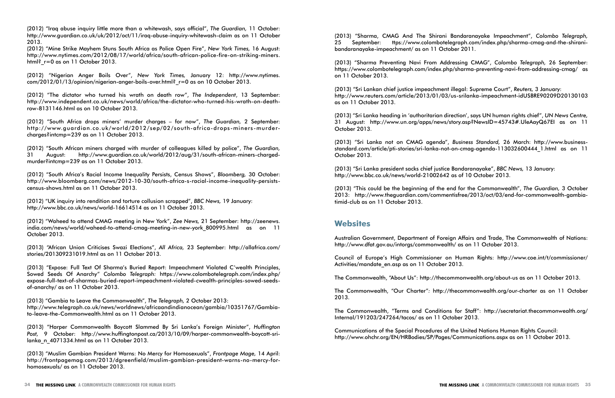(2012) "Mine Strike Mayhem Stuns South Africa as Police Open Fire", *New York Times,* 16 August: http://www.nytimes.com/2012/08/17/world/africa/south-african-police-fire-on-striking-miners. html? r=0 as on 11 October 2013.

(2012) "Iraq abuse inquiry little more than a whitewash, says official", *The Guardian,* 11 October: http://www.guardian.co.uk/uk/2012/oct/11/iraq-abuse-inquiry-whitewash-claim as on 11 October 2013.

(2012) "Nigerian Anger Boils Over", *New York Times,* January 12: http://www.nytimes. com/2012/01/13/opinion/nigerian-anger-boils-over.html? r=0 as on 10 October 2013.

(2012) "The dictator who turned his wrath on death row", *The Independent*, 13 September: http://www.independent.co.uk/news/world/africa/the-dictator-who-turned-his-wrath-on-deathrow-8131146.html as on 10 October 2013.

(2012) "South Africa drops miners' murder charges – for now", *The Guardian,* 2 September: http://www.guardian.co.uk/world/2012/sep/02/south-africa-drops-miners-murdercharges?intcmp=239 as on 11 October 2013.

(2012) "South African miners charged with murder of colleagues killed by police", *The Guardian,* 31 August: http://www.guardian.co.uk/world/2012/aug/31/south-african-miners-chargedmurder?intcmp=239 as on 11 October 2013.

(2012) "South Africa's Racial Income Inequality Persists, Census Shows", *Bloomberg,* 30 October: http://www.bloomberg.com/news/2012-10-30/south-africa-s-racial-income-inequality-persistscensus-shows.html as on 11 October 2013.

(2012) "UK inquiry into rendition and torture collusion scrapped", *BBC News,* 19 January: http://www.bbc.co.uk/news/world-16614514 as on 11 October 2013.

(2012) "Waheed to attend CMAG meeting in New York", *Zee News,* 21 September: http://zeenews. india.com/news/world/waheed-to-attend-cmag-meeting-in-new-york\_800995.html as on 11 October 2013.

(2013) "African Union Criticises Swazi Elections", *All Africa,* 23 September: http://allafrica.com/ stories/201309231019.html as on 11 October 2013.

(2013) "Expose: Full Text Of Sharma's Buried Report: Impeachment Violated C'wealth Principles, Sowed Seeds Of Anarchy" *Colombo Telegraph:* https://www.colombotelegraph.com/index.php/ expose-full-text-of-sharmas-buried-report-impeachment-violated-cwealth-principles-sowed-seedsof-anarchy/ as on 11 October 2013.

Council of Europe's High Commissioner on Human Rights: http://www.coe.int/t/commissioner/ Activities/mandate en.asp as on 11 October 2013.

(2013) "Gambia to Leave the Commonwealth", *The Telegraph,* 2 October 2013: http://www.telegraph.co.uk/news/worldnews/africaandindianocean/gambia/10351767/Gambiato-leave-the-Commonwealth.html as on 11 October 2013.

(2013) "Harper Commonwealth Boycott Slammed By Sri Lanka's Foreign Minister", *Huffington Post,* 9 October: http://www.huffingtonpost.ca/2013/10/09/harper-commonwealth-boycott-srilanka\_n\_4071334.html as on 11 October 2013.

(2013) "Muslim Gambian President Warns: No Mercy for Homosexuals", *Frontpage Mage,* 14 April: http://frontpagemag.com/2013/dgreenfield/muslim-gambian-president-warns-no-mercy-forhomosexuals/ as on 11 October 2013.

(2013) "Sharma, CMAG And The Shirani Bandaranayake Impeachment", *Colombo Telegraph,*  25 September: ttps://www.colombotelegraph.com/index.php/sharma-cmag-and-the-shiranibandaranayake-impeachment/ as on 11 October 2011.

(2013) "Sharma Preventing Navi From Addressing CMAG", *Colombo Telegraph,* 26 September: https://www.colombotelegraph.com/index.php/sharma-preventing-navi-from-addressing-cmag/ as on 11 October 2013.

(2013) "Sri Lankan chief justice impeachment illegal: Supreme Court", *Reuters,* 3 January: http://www.reuters.com/article/2013/01/03/us-srilanka-impeachment-idUSBRE90209D20130103 as on 11 October 2013.

(2013) "Sri Lanka heading in 'authoritarian direction', says UN human rights chief", *UN News Centre,* 31 August: http://www.un.org/apps/news/story.asp?NewsID=45743#.UleAayQ67EI as on 11 October 2013.

(2013) "Sri Lanka not on CMAG agenda", *Business Standard,* 26 March: http://www.businessstandard.com/article/pti-stories/sri-lanka-not-on-cmag-agenda-113032600444\_1.html as on 11 October 2013.

(2013) "Sri Lanka president sacks chief justice Bandaranayake", *BBC News,* 13 January: http://www.bbc.co.uk/news/world-21002642 as of 10 October 2013.

(2013) "This could be the beginning of the end for the Commonwealth", *The Guardian,* 3 October 2013: http://www.theguardian.com/commentisfree/2013/oct/03/end-for-commonwealth-gambiatimid-club as on 11 October 2013.

#### **Websites**

Australian Government, Department of Foreign Affairs and Trade, The Commonwealth of Nations: http://www.dfat.gov.au/intorgs/commonwealth/ as on 11 October 2013.

The Commonwealth, "About Us": http://thecommonwealth.org/about-us as on 11 October 2013.

The Commonwealth, "Our Charter"*:* http://thecommonwealth.org/our-charter as on 11 October 2013.

The Commonwealth, "Terms and Conditions for Staff": http://secretariat.thecommonwealth.org/ Internal/191203/247264/tacos/ as on 11 October 2013.

Communications of the Special Procedures of the United Nations Human Rights Council: http://www.ohchr.org/EN/HRBodies/SP/Pages/Communications.aspx as on 11 October 2013.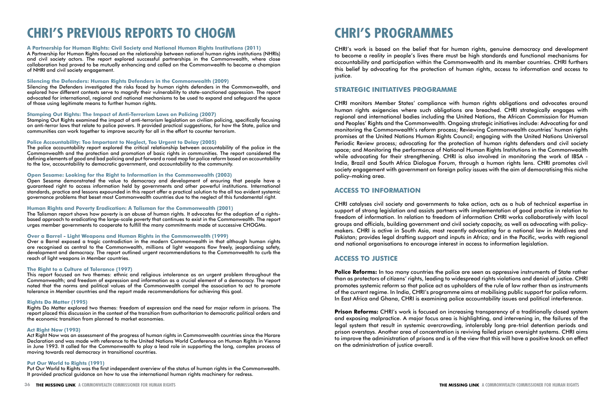

### **CHRI'S Previous Reports to CHOGM**

#### **A Partnership for Human Rights: Civil Society and National Human Rights Institutions (2011)**

A Partnership for Human Rights focused on the relationship between national human rights institutions (NHRIs) and civil society actors. The report explored successful partnerships in the Commonwealth, where close collaboration had proved to be mutually enhancing and called on the Commonwealth to become a champion of NHRI and civil society engagement.

#### **Silencing the Defenders: Human Rights Defenders in the Commonwealth (2009)**

Silencing the Defenders investigated the risks faced by human rights defenders in the Commonwealth, and explored how different contexts serve to magnify their vulnerability to state–sanctioned oppression. The report advocated for international, regional and national mechanisms to be used to expand and safeguard the space of those using legitimate means to further human rights.

#### **Stamping Out Rights: The Impact of Anti-Terrorism Laws on Policing (2007)**

Stamping Out Rights examined the impact of anti-terrorism legislation on civilian policing, specifically focusing on anti-terror laws that relate to police powers. It provided practical suggestions, for how the State, police and communities can work together to improve security for all in the effort to counter terrorism.

#### **Police Accountability: Too Important to Neglect, Too Urgent to Delay (2005)**

The police accountability report explored the critical relationship between accountability of the police in the Commonwealth and the protection and promotion of basic rights in communities. The report considered the defining elements of good and bad policing and put forward a road map for police reform based on accountability to the law, accountability to democratic government, and accountability to the community.

#### **Open Sesame: Looking for the Right to Information in the Commonwealth (2003)**

Open Sesame demonstrated the value to democracy and development of ensuring that people have a guaranteed right to access information held by governments and other powerful institutions. International standards, practice and lessons expounded in this report offer a practical solution to the all too evident systemic governance problems that beset most Commonwealth countries due to the neglect of this fundamental right.

CHRI's work is based on the belief that for human rights, genuine democracy and development to become a reality in people's lives there must be high standards and functional mechanisms for accountability and participation within the Commonwealth and its member countries. CHRI furthers this belief by advocating for the protection of human rights, access to information and access to justice.

#### **Human Rights and Poverty Eradication: A Talisman for the Commonwealth (2001)**

The Talisman report shows how poverty is an abuse of human rights. It advocates for the adoption of a rightsbased approach to eradicating the large-scale poverty that continues to exist in the Commonwealth. The report urges member governments to cooperate to fulfill the many commitments made at successive CHOGMs.

#### **Over a Barrel - Light Weapons and Human Rights in the Commonwealth (1999)**

Over a Barrel exposed a tragic contradiction in the modern Commonwealth in that although human rights are recognised as central to the Commonwealth, millions of light weapons flow freely, jeopardising safety, development and democracy. The report outlined urgent recommendations to the Commonwealth to curb the reach of light weapons in Member countries.

#### **The Right to a Culture of Tolerance (1997)**

This report focused on two themes: ethnic and religious intolerance as an urgent problem throughout the Commonwealth; and freedom of expression and information as a crucial element of a democracy. The report noted that the norms and political values of the Commonwealth compel the association to act to promote tolerance in Member countries and the report made recommendations for achieving this goal.

#### **Rights Do Matter (1995)**

Rights Do Matter explored two themes: freedom of expression and the need for major reform in prisons. The report placed this discussion in the context of the transition from authoritarian to democratic political orders and the economic transition from planned to market economies.

**Prison Reforms:** CHRI's work is focused on increasing transparency of a traditionally closed system and exposing malpractice. A major focus area is highlighting, and intervening in, the failures of the legal system that result in systemic overcrowding, intolerably long pre-trial detention periods and prison overstays. Another area of concentration is reviving failed prison oversight systems. CHRI aims to improve the administration of prisons and is of the view that this will have a positive knock on effect on the administration of justice overall.

#### **Act Right Now (1993)**

Act Right Now was an assessment of the progress of human rights in Commonwealth countries since the Harare Declaration and was made with reference to the United Nations World Conference on Human Rights in Vienna in June 1993. It called for the Commonwealth to play a lead role in supporting the long, complex process of moving towards real democracy in transitional countries.

#### **Put Our World to Rights (1991)**

Put Our World to Rights was the first independent overview of the status of human rights in the Commonwealth. It provided practical guidance on how to use the international human rights machinery for redress.

### **CHRI's Programmes**

#### **Strategic Initiatives programme**

CHRI monitors Member States' compliance with human rights obligations and advocates around human rights exigencies where such obligations are breached. CHRI strategically engages with regional and international bodies including the United Nations, the African Commission for Human and Peoples' Rights and the Commonwealth. Ongoing strategic initiatives include: Advocating for and monitoring the Commonwealth's reform process; Reviewing Commonwealth countries' human rights promises at the United Nations Human Rights Council; engaging with the United Nations Universal Periodic Review process; advocating for the protection of human rights defenders and civil society space; and Monitoring the performance of National Human Rights Institutions in the Commonwealth while advocating for their strengthening. CHRI is also involved in monitoring the work of IBSA - India, Brazil and South Africa Dialogue Forum, through a human rights lens. CHRI promotes civil society engagement with government on foreign policy issues with the aim of democratising this niche policy–making area.

#### **Access to Information**

CHRI catalyses civil society and governments to take action, acts as a hub of technical expertise in support of strong legislation and assists partners with implementation of good practice in relation to freedom of information. In relation to freedom of information CHRI works collaboratively with local groups and officials, building government and civil society capacity, as well as advocating with policymakers. CHRI is active in South Asia, most recently advocating for a national law in Maldives and Pakistan; provides legal drafting support and inputs in Africa; and in the Pacific, works with regional and national organisations to encourage interest in access to information legislation.

#### **Access to Justice**

**Police Reforms:** In too many countries the police are seen as oppressive instruments of State rather than as protectors of citizens' rights, leading to widespread rights violations and denial of justice. CHRI promotes systemic reform so that police act as upholders of the rule of law rather than as instruments of the current regime. In India, CHRI's programme aims at mobilising public support for police reform. In East Africa and Ghana, CHRI is examining police accountability issues and political interference.